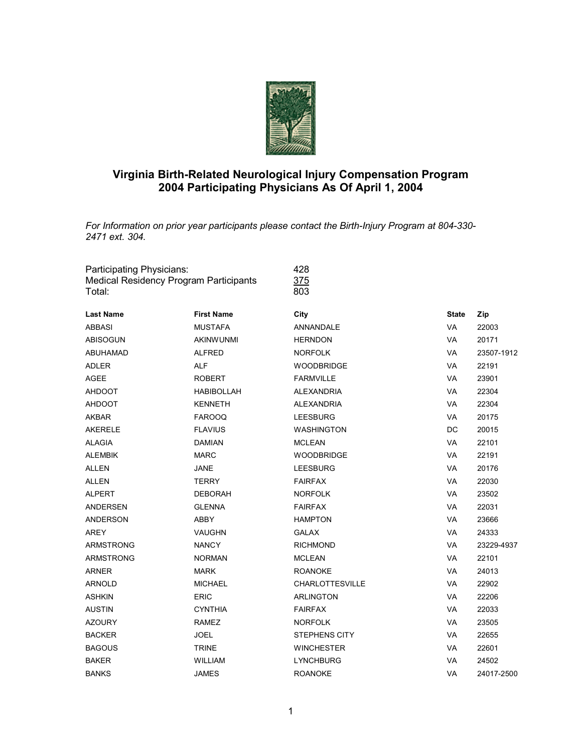

## **Virginia Birth-Related Neurological Injury Compensation Program 2004 Participating Physicians As Of April 1, 2004**

*For Information on prior year participants please contact the Birth-Injury Program at 804-330- 2471 ext. 304.*

| Participating Physicians:<br>Medical Residency Program Participants<br>Total: |                   | 428<br>375<br>803      |              |            |  |
|-------------------------------------------------------------------------------|-------------------|------------------------|--------------|------------|--|
| <b>Last Name</b>                                                              | <b>First Name</b> | City                   | <b>State</b> | Zip        |  |
| <b>ABBASI</b>                                                                 | <b>MUSTAFA</b>    | ANNANDALE              | VA           | 22003      |  |
| <b>ABISOGUN</b>                                                               | <b>AKINWUNMI</b>  | <b>HERNDON</b>         | <b>VA</b>    | 20171      |  |
| ABUHAMAD                                                                      | <b>ALFRED</b>     | <b>NORFOLK</b>         | <b>VA</b>    | 23507-1912 |  |
| <b>ADLER</b>                                                                  | <b>ALF</b>        | <b>WOODBRIDGE</b>      | <b>VA</b>    | 22191      |  |
| <b>AGEE</b>                                                                   | <b>ROBERT</b>     | <b>FARMVILLE</b>       | <b>VA</b>    | 23901      |  |
| AHDOOT                                                                        | <b>HABIBOLLAH</b> | <b>ALEXANDRIA</b>      | VA           | 22304      |  |
| <b>AHDOOT</b>                                                                 | <b>KENNETH</b>    | <b>ALEXANDRIA</b>      | <b>VA</b>    | 22304      |  |
| <b>AKBAR</b>                                                                  | <b>FAROOQ</b>     | <b>LEESBURG</b>        | <b>VA</b>    | 20175      |  |
| <b>AKERELE</b>                                                                | <b>FLAVIUS</b>    | <b>WASHINGTON</b>      | DC           | 20015      |  |
| <b>ALAGIA</b>                                                                 | <b>DAMIAN</b>     | <b>MCLEAN</b>          | <b>VA</b>    | 22101      |  |
| <b>ALEMBIK</b>                                                                | <b>MARC</b>       | <b>WOODBRIDGE</b>      | VA           | 22191      |  |
| ALLEN                                                                         | JANE              | <b>LEESBURG</b>        | <b>VA</b>    | 20176      |  |
| <b>ALLEN</b>                                                                  | <b>TERRY</b>      | <b>FAIRFAX</b>         | <b>VA</b>    | 22030      |  |
| <b>ALPERT</b>                                                                 | <b>DEBORAH</b>    | <b>NORFOLK</b>         | <b>VA</b>    | 23502      |  |
| ANDERSEN                                                                      | <b>GLENNA</b>     | <b>FAIRFAX</b>         | <b>VA</b>    | 22031      |  |
| <b>ANDERSON</b>                                                               | <b>ABBY</b>       | <b>HAMPTON</b>         | <b>VA</b>    | 23666      |  |
| AREY                                                                          | <b>VAUGHN</b>     | <b>GALAX</b>           | VA           | 24333      |  |
| <b>ARMSTRONG</b>                                                              | <b>NANCY</b>      | <b>RICHMOND</b>        | <b>VA</b>    | 23229-4937 |  |
| ARMSTRONG                                                                     | <b>NORMAN</b>     | <b>MCLEAN</b>          | VA           | 22101      |  |
| ARNER                                                                         | <b>MARK</b>       | <b>ROANOKE</b>         | <b>VA</b>    | 24013      |  |
| <b>ARNOLD</b>                                                                 | <b>MICHAEL</b>    | <b>CHARLOTTESVILLE</b> | <b>VA</b>    | 22902      |  |
| ASHKIN                                                                        | <b>ERIC</b>       | <b>ARLINGTON</b>       | <b>VA</b>    | 22206      |  |
| <b>AUSTIN</b>                                                                 | <b>CYNTHIA</b>    | <b>FAIRFAX</b>         | VA           | 22033      |  |
| <b>AZOURY</b>                                                                 | <b>RAMEZ</b>      | <b>NORFOLK</b>         | <b>VA</b>    | 23505      |  |
| <b>BACKER</b>                                                                 | <b>JOEL</b>       | <b>STEPHENS CITY</b>   | VA           | 22655      |  |
| <b>BAGOUS</b>                                                                 | <b>TRINE</b>      | <b>WINCHESTER</b>      | <b>VA</b>    | 22601      |  |
| <b>BAKER</b>                                                                  | <b>WILLIAM</b>    | <b>LYNCHBURG</b>       | <b>VA</b>    | 24502      |  |
| BANKS                                                                         | <b>JAMES</b>      | <b>ROANOKE</b>         | VA           | 24017-2500 |  |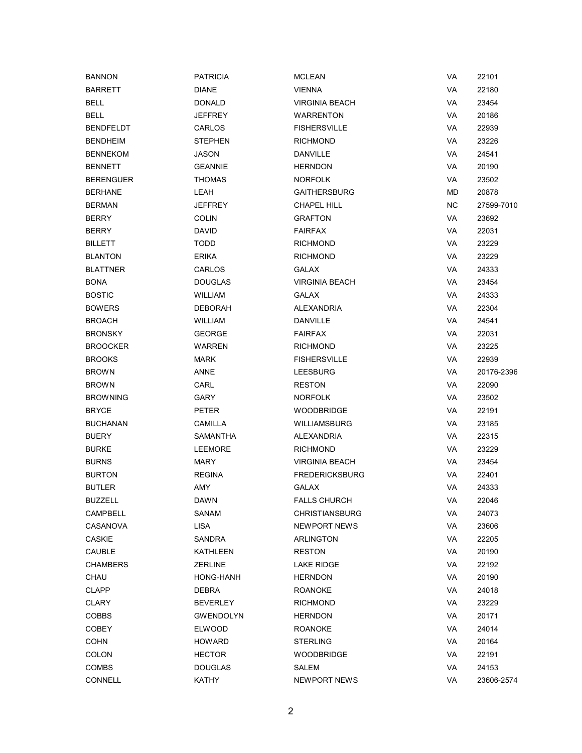| <b>BANNON</b>    | <b>PATRICIA</b>  | <b>MCLEAN</b>         | VA        | 22101      |
|------------------|------------------|-----------------------|-----------|------------|
| <b>BARRETT</b>   | <b>DIANE</b>     | <b>VIENNA</b>         | VA        | 22180      |
| <b>BELL</b>      | <b>DONALD</b>    | <b>VIRGINIA BEACH</b> | VA        | 23454      |
| <b>BELL</b>      | <b>JEFFREY</b>   | <b>WARRENTON</b>      | VA        | 20186      |
| BENDFELDT        | CARLOS           | <b>FISHERSVILLE</b>   | VA        | 22939      |
| BENDHEIM         | <b>STEPHEN</b>   | <b>RICHMOND</b>       | VA        | 23226      |
| <b>BENNEKOM</b>  | <b>JASON</b>     | DANVILLE              | VA        | 24541      |
| <b>BENNETT</b>   | <b>GEANNIE</b>   | <b>HERNDON</b>        | VA        | 20190      |
| <b>BERENGUER</b> | <b>THOMAS</b>    | <b>NORFOLK</b>        | VA        | 23502      |
| <b>BERHANE</b>   | LEAH             | <b>GAITHERSBURG</b>   | <b>MD</b> | 20878      |
| <b>BERMAN</b>    | <b>JEFFREY</b>   | <b>CHAPEL HILL</b>    | NC.       | 27599-7010 |
| BERRY            | <b>COLIN</b>     | <b>GRAFTON</b>        | VA        | 23692      |
| BERRY            | <b>DAVID</b>     | <b>FAIRFAX</b>        | VA        | 22031      |
| BILLETT          | <b>TODD</b>      | <b>RICHMOND</b>       | VA        | 23229      |
| <b>BLANTON</b>   | <b>ERIKA</b>     | <b>RICHMOND</b>       | VA        | 23229      |
| <b>BLATTNER</b>  | CARLOS           | GALAX                 | VA        | 24333      |
| BONA             | <b>DOUGLAS</b>   | <b>VIRGINIA BEACH</b> | VA        | 23454      |
| <b>BOSTIC</b>    | <b>WILLIAM</b>   | GALAX                 | VA        | 24333      |
| <b>BOWERS</b>    | <b>DEBORAH</b>   | ALEXANDRIA            | VA        | 22304      |
| <b>BROACH</b>    | <b>WILLIAM</b>   | <b>DANVILLE</b>       | VA        | 24541      |
| BRONSKY          | <b>GEORGE</b>    | <b>FAIRFAX</b>        | VA        | 22031      |
| <b>BROOCKER</b>  | WARREN           | <b>RICHMOND</b>       | VA        | 23225      |
| <b>BROOKS</b>    | <b>MARK</b>      | <b>FISHERSVILLE</b>   | VA        | 22939      |
| <b>BROWN</b>     | ANNE             | LEESBURG              | VA        | 20176-2396 |
| <b>BROWN</b>     | CARL             | <b>RESTON</b>         | VA        | 22090      |
| <b>BROWNING</b>  | GARY             | <b>NORFOLK</b>        | VA        | 23502      |
| <b>BRYCE</b>     | <b>PETER</b>     | <b>WOODBRIDGE</b>     | VA        | 22191      |
| <b>BUCHANAN</b>  | CAMILLA          | <b>WILLIAMSBURG</b>   | VA        | 23185      |
| <b>BUERY</b>     | SAMANTHA         | ALEXANDRIA            | VA        | 22315      |
| <b>BURKE</b>     | <b>LEEMORE</b>   | <b>RICHMOND</b>       | VA        | 23229      |
| <b>BURNS</b>     | <b>MARY</b>      | <b>VIRGINIA BEACH</b> | VA        | 23454      |
| <b>BURTON</b>    | <b>REGINA</b>    | <b>FREDERICKSBURG</b> | VA        | 22401      |
| BUTLER           | AMY              | <b>GALAX</b>          | VA        | 24333      |
| BUZZELL          | DAWN             | <b>FALLS CHURCH</b>   | VA        | 22046      |
| <b>CAMPBELL</b>  | SANAM            | <b>CHRISTIANSBURG</b> | VA        | 24073      |
| CASANOVA         | <b>LISA</b>      | <b>NEWPORT NEWS</b>   | VA        | 23606      |
| <b>CASKIE</b>    | SANDRA           | ARLINGTON             | VA        | 22205      |
| CAUBLE           | KATHLEEN         | <b>RESTON</b>         | VA        | 20190      |
| CHAMBERS         | <b>ZERLINE</b>   | LAKE RIDGE            | VA        | 22192      |
| CHAU             | HONG-HANH        | <b>HERNDON</b>        | VA        | 20190      |
| CLAPP            | DEBRA            | ROANOKE               | VA        | 24018      |
| CLARY            | <b>BEVERLEY</b>  | <b>RICHMOND</b>       | VA        | 23229      |
| <b>COBBS</b>     | <b>GWENDOLYN</b> | <b>HERNDON</b>        | VA        | 20171      |
| <b>COBEY</b>     | <b>ELWOOD</b>    | ROANOKE               | VA        | 24014      |
| <b>COHN</b>      | <b>HOWARD</b>    | STERLING              | VA        | 20164      |
| <b>COLON</b>     | <b>HECTOR</b>    | WOODBRIDGE            | VA        | 22191      |
| COMBS            | <b>DOUGLAS</b>   | SALEM                 | VA        | 24153      |
| CONNELL          | KATHY            | NEWPORT NEWS          | VA        | 23606-2574 |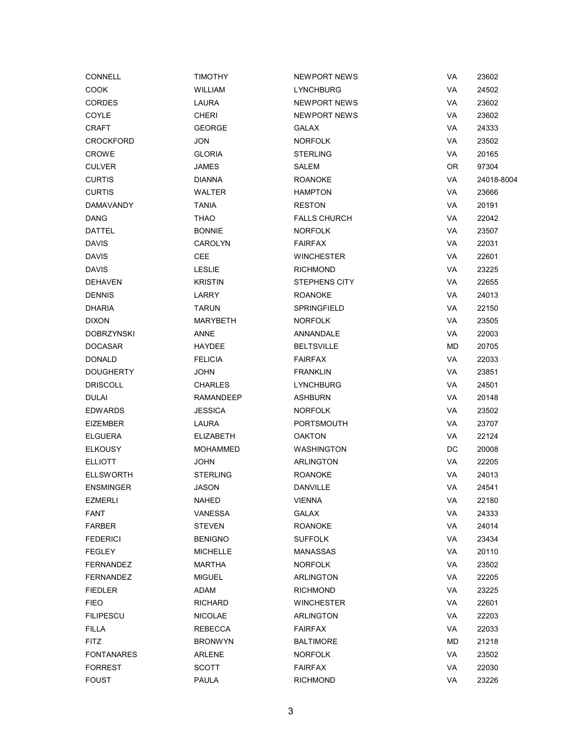| <b>CONNELL</b>    | <b>TIMOTHY</b>   | NEWPORT NEWS        | VA        | 23602      |
|-------------------|------------------|---------------------|-----------|------------|
| COOK              | <b>WILLIAM</b>   | <b>LYNCHBURG</b>    | VA        | 24502      |
| <b>CORDES</b>     | <b>LAURA</b>     | NEWPORT NEWS        | VA        | 23602      |
| COYLE             | <b>CHERI</b>     | NEWPORT NEWS        | VA        | 23602      |
| <b>CRAFT</b>      | <b>GEORGE</b>    | <b>GALAX</b>        | VA        | 24333      |
| <b>CROCKFORD</b>  | JON              | <b>NORFOLK</b>      | VA        | 23502      |
| <b>CROWE</b>      | <b>GLORIA</b>    | <b>STERLING</b>     | VA        | 20165      |
| <b>CULVER</b>     | JAMES            | SALEM               | 0R        | 97304      |
| <b>CURTIS</b>     | DIANNA           | <b>ROANOKE</b>      | VA        | 24018-8004 |
| <b>CURTIS</b>     | WALTER           | <b>HAMPTON</b>      | VA        | 23666      |
| <b>DAMAVANDY</b>  | <b>TANIA</b>     | <b>RESTON</b>       | VA        | 20191      |
| DANG              | <b>THAO</b>      | <b>FALLS CHURCH</b> | VA        | 22042      |
| DATTEL            | <b>BONNIE</b>    | <b>NORFOLK</b>      | VA        | 23507      |
| <b>DAVIS</b>      | CAROLYN          | <b>FAIRFAX</b>      | VA        | 22031      |
| <b>DAVIS</b>      | <b>CEE</b>       | <b>WINCHESTER</b>   | VA        | 22601      |
| <b>DAVIS</b>      | <b>LESLIE</b>    | <b>RICHMOND</b>     | VA        | 23225      |
| <b>DEHAVEN</b>    | <b>KRISTIN</b>   | STEPHENS CITY       | VA        | 22655      |
| <b>DENNIS</b>     | LARRY            | ROANOKE             | VA        | 24013      |
| <b>DHARIA</b>     | <b>TARUN</b>     | SPRINGFIELD         | VA        | 22150      |
| <b>DIXON</b>      | MARYBETH         | <b>NORFOLK</b>      | VA        | 23505      |
| <b>DOBRZYNSKI</b> | <b>ANNE</b>      | ANNANDALE           | VA        | 22003      |
| <b>DOCASAR</b>    | HAYDEE           | <b>BELTSVILLE</b>   | <b>MD</b> | 20705      |
| <b>DONALD</b>     | <b>FELICIA</b>   | <b>FAIRFAX</b>      | VA        | 22033      |
| <b>DOUGHERTY</b>  | <b>JOHN</b>      | <b>FRANKLIN</b>     | VA        | 23851      |
| <b>DRISCOLL</b>   | <b>CHARLES</b>   | LYNCHBURG           | VA        | 24501      |
| DULAI             | RAMANDEEP        | <b>ASHBURN</b>      | VA        | 20148      |
| <b>EDWARDS</b>    | <b>JESSICA</b>   | <b>NORFOLK</b>      | VA        | 23502      |
| <b>EIZEMBER</b>   | LAURA            | <b>PORTSMOUTH</b>   | VA        | 23707      |
| <b>ELGUERA</b>    | <b>ELIZABETH</b> | <b>OAKTON</b>       | VA        | 22124      |
| <b>ELKOUSY</b>    | <b>MOHAMMED</b>  | <b>WASHINGTON</b>   | DC        | 20008      |
| <b>ELLIOTT</b>    | JOHN             | ARLINGTON           | VA        | 22205      |
| <b>ELLSWORTH</b>  | <b>STERLING</b>  | <b>ROANOKE</b>      | VA        | 24013      |
| <b>ENSMINGER</b>  | JASON            | DANVILLE            | VA        | 24541      |
| <b>EZMERLI</b>    | NAHED            | <b>VIENNA</b>       | VA        | 22180      |
| <b>FANT</b>       | <b>VANESSA</b>   | <b>GALAX</b>        | VA        | 24333      |
| <b>FARBER</b>     | <b>STEVEN</b>    | <b>ROANOKE</b>      | VA        | 24014      |
| <b>FEDERICI</b>   | <b>BENIGNO</b>   | <b>SUFFOLK</b>      | VA        | 23434      |
| <b>FEGLEY</b>     | <b>MICHELLE</b>  | MANASSAS            | VA        | 20110      |
| <b>FERNANDEZ</b>  | <b>MARTHA</b>    | <b>NORFOLK</b>      | VA        | 23502      |
| <b>FERNANDEZ</b>  | <b>MIGUEL</b>    | <b>ARLINGTON</b>    | VA        | 22205      |
| <b>FIEDLER</b>    | ADAM             | <b>RICHMOND</b>     | VA        | 23225      |
| <b>FIEO</b>       | RICHARD          | <b>WINCHESTER</b>   | VA        | 22601      |
| <b>FILIPESCU</b>  | <b>NICOLAE</b>   | <b>ARLINGTON</b>    | VA        | 22203      |
| <b>FILLA</b>      | <b>REBECCA</b>   | <b>FAIRFAX</b>      | VA        | 22033      |
| <b>FITZ</b>       | <b>BRONWYN</b>   | <b>BALTIMORE</b>    | MD        | 21218      |
| <b>FONTANARES</b> | ARLENE           | <b>NORFOLK</b>      | VA        | 23502      |
| <b>FORREST</b>    | <b>SCOTT</b>     | <b>FAIRFAX</b>      | VA        | 22030      |
| <b>FOUST</b>      | <b>PAULA</b>     | <b>RICHMOND</b>     | VA        | 23226      |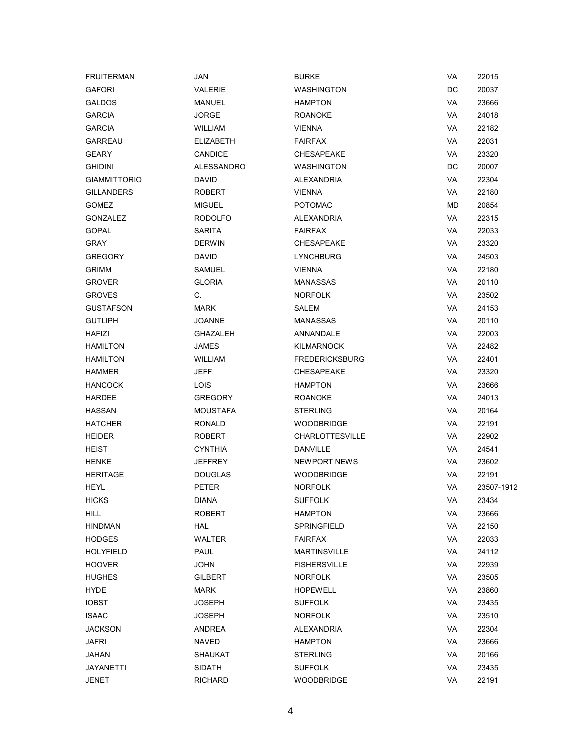| <b>FRUITERMAN</b>   | JAN               | <b>BURKE</b>           | VA | 22015      |
|---------------------|-------------------|------------------------|----|------------|
| <b>GAFORI</b>       | <b>VALERIE</b>    | <b>WASHINGTON</b>      | DC | 20037      |
| <b>GALDOS</b>       | <b>MANUEL</b>     | <b>HAMPTON</b>         | VA | 23666      |
| <b>GARCIA</b>       | <b>JORGE</b>      | <b>ROANOKE</b>         | VA | 24018      |
| <b>GARCIA</b>       | <b>WILLIAM</b>    | <b>VIENNA</b>          | VA | 22182      |
| <b>GARREAU</b>      | <b>ELIZABETH</b>  | <b>FAIRFAX</b>         | VA | 22031      |
| <b>GEARY</b>        | <b>CANDICE</b>    | <b>CHESAPEAKE</b>      | VA | 23320      |
| <b>GHIDINI</b>      | <b>ALESSANDRO</b> | <b>WASHINGTON</b>      | DC | 20007      |
| <b>GIAMMITTORIO</b> | <b>DAVID</b>      | <b>ALEXANDRIA</b>      | VA | 22304      |
| <b>GILLANDERS</b>   | ROBERT            | <b>VIENNA</b>          | VA | 22180      |
| <b>GOMEZ</b>        | <b>MIGUEL</b>     | <b>POTOMAC</b>         | MD | 20854      |
| <b>GONZALEZ</b>     | <b>RODOLFO</b>    | <b>ALEXANDRIA</b>      | VA | 22315      |
| <b>GOPAL</b>        | <b>SARITA</b>     | <b>FAIRFAX</b>         | VA | 22033      |
| <b>GRAY</b>         | <b>DERWIN</b>     | <b>CHESAPEAKE</b>      | VA | 23320      |
| <b>GREGORY</b>      | <b>DAVID</b>      | <b>LYNCHBURG</b>       | VA | 24503      |
| <b>GRIMM</b>        | <b>SAMUEL</b>     | <b>VIENNA</b>          | VA | 22180      |
| <b>GROVER</b>       | <b>GLORIA</b>     | MANASSAS               | VA | 20110      |
| <b>GROVES</b>       | C.                | <b>NORFOLK</b>         | VA | 23502      |
| <b>GUSTAFSON</b>    | <b>MARK</b>       | SALEM                  | VA | 24153      |
| <b>GUTLIPH</b>      | <b>JOANNE</b>     | <b>MANASSAS</b>        | VA | 20110      |
| <b>HAFIZI</b>       | GHAZALEH          | ANNANDALE              | VA | 22003      |
| <b>HAMILTON</b>     | <b>JAMES</b>      | <b>KILMARNOCK</b>      | VA | 22482      |
| <b>HAMILTON</b>     | <b>WILLIAM</b>    | <b>FREDERICKSBURG</b>  | VA | 22401      |
| <b>HAMMER</b>       | <b>JEFF</b>       | <b>CHESAPEAKE</b>      | VA | 23320      |
| HANCOCK             | LOIS              | <b>HAMPTON</b>         | VA | 23666      |
| HARDEE              | <b>GREGORY</b>    | ROANOKE                | VA | 24013      |
| HASSAN              | <b>MOUSTAFA</b>   | <b>STERLING</b>        | VA | 20164      |
| <b>HATCHER</b>      | <b>RONALD</b>     | <b>WOODBRIDGE</b>      | VA | 22191      |
| <b>HEIDER</b>       | <b>ROBERT</b>     | <b>CHARLOTTESVILLE</b> | VA | 22902      |
| HEIST               | <b>CYNTHIA</b>    | DANVILLE               | VA | 24541      |
| <b>HENKE</b>        | <b>JEFFREY</b>    | <b>NEWPORT NEWS</b>    | VA | 23602      |
| <b>HERITAGE</b>     | <b>DOUGLAS</b>    | <b>WOODBRIDGE</b>      | VA | 22191      |
| HEYL                | <b>PETER</b>      | <b>NORFOLK</b>         | VA | 23507-1912 |
| <b>HICKS</b>        | <b>DIANA</b>      | <b>SUFFOLK</b>         | VA | 23434      |
| <b>HILL</b>         | ROBERT            | <b>HAMPTON</b>         | VA | 23666      |
| <b>HINDMAN</b>      | <b>HAL</b>        | SPRINGFIELD            | VA | 22150      |
| HODGES              | WALTER            | <b>FAIRFAX</b>         | VA | 22033      |
| HOLYFIELD           | PAUL              | <b>MARTINSVILLE</b>    | VA | 24112      |
| HOOVER              | <b>JOHN</b>       | <b>FISHERSVILLE</b>    | VA | 22939      |
| <b>HUGHES</b>       | <b>GILBERT</b>    | <b>NORFOLK</b>         | VA | 23505      |
| HYDE                | MARK              | <b>HOPEWELL</b>        | VA | 23860      |
| IOBST               | <b>JOSEPH</b>     | <b>SUFFOLK</b>         | VA | 23435      |
| <b>ISAAC</b>        | <b>JOSEPH</b>     | <b>NORFOLK</b>         | VA | 23510      |
| <b>JACKSON</b>      | ANDREA            | <b>ALEXANDRIA</b>      | VA | 22304      |
| <b>JAFRI</b>        | <b>NAVED</b>      | <b>HAMPTON</b>         | VA | 23666      |
| JAHAN               | <b>SHAUKAT</b>    | <b>STERLING</b>        | VA | 20166      |
| JAYANETTI           | SIDATH            | <b>SUFFOLK</b>         | VA | 23435      |
| <b>JENET</b>        | <b>RICHARD</b>    | <b>WOODBRIDGE</b>      | VA | 22191      |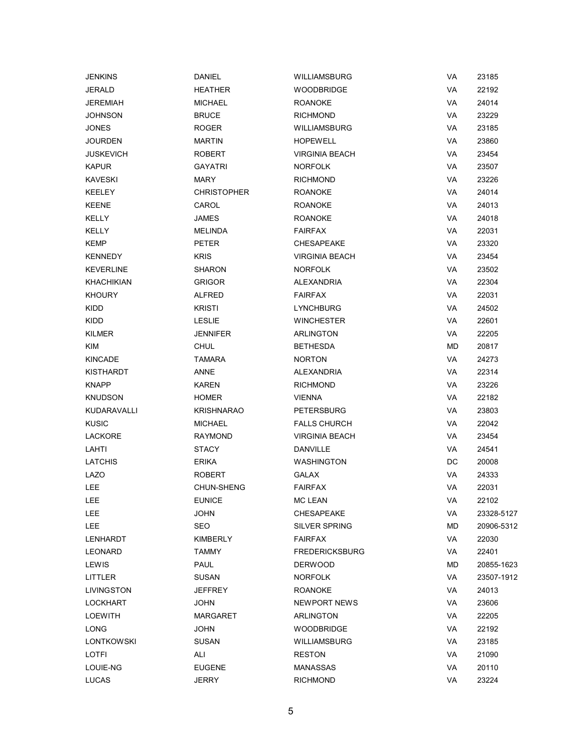| <b>JENKINS</b> | <b>DANIEL</b>      | WILLIAMSBURG          | VA | 23185      |
|----------------|--------------------|-----------------------|----|------------|
| <b>JERALD</b>  | <b>HEATHER</b>     | <b>WOODBRIDGE</b>     | VA | 22192      |
| JEREMIAH       | <b>MICHAEL</b>     | <b>ROANOKE</b>        | VA | 24014      |
| JOHNSON        | <b>BRUCE</b>       | <b>RICHMOND</b>       | VA | 23229      |
| JONES          | <b>ROGER</b>       | WILLIAMSBURG          | VA | 23185      |
| <b>JOURDEN</b> | <b>MARTIN</b>      | <b>HOPEWELL</b>       | VA | 23860      |
| JUSKEVICH      | <b>ROBERT</b>      | <b>VIRGINIA BEACH</b> | VA | 23454      |
| <b>KAPUR</b>   | GAYATRI            | <b>NORFOLK</b>        | VA | 23507      |
| KAVESKI        | <b>MARY</b>        | <b>RICHMOND</b>       | VA | 23226      |
| KEELEY         | <b>CHRISTOPHER</b> | <b>ROANOKE</b>        | VA | 24014      |
| <b>KEENE</b>   | CAROL              | <b>ROANOKE</b>        | VA | 24013      |
| <b>KELLY</b>   | <b>JAMES</b>       | <b>ROANOKE</b>        | VA | 24018      |
| KELLY          | <b>MELINDA</b>     | <b>FAIRFAX</b>        | VA | 22031      |
| KEMP           | <b>PETER</b>       | <b>CHESAPEAKE</b>     | VA | 23320      |
| <b>KENNEDY</b> | <b>KRIS</b>        | <b>VIRGINIA BEACH</b> | VA | 23454      |
| KEVERLINE      | <b>SHARON</b>      | <b>NORFOLK</b>        | VA | 23502      |
| KHACHIKIAN     | <b>GRIGOR</b>      | ALEXANDRIA            | VA | 22304      |
| KHOURY         | ALFRED             | <b>FAIRFAX</b>        | VA | 22031      |
| KIDD           | <b>KRISTI</b>      | <b>LYNCHBURG</b>      | VA | 24502      |
| KIDD           | <b>LESLIE</b>      | <b>WINCHESTER</b>     | VA | 22601      |
| KILMER         | <b>JENNIFER</b>    | ARLINGTON             | VA | 22205      |
| KIM            | <b>CHUL</b>        | <b>BETHESDA</b>       | МD | 20817      |
| <b>KINCADE</b> | <b>TAMARA</b>      | <b>NORTON</b>         | VA | 24273      |
| KISTHARDT      | ANNE               | ALEXANDRIA            | VA | 22314      |
| KNAPP          | KAREN              | <b>RICHMOND</b>       | VA | 23226      |
| KNUDSON        | <b>HOMER</b>       | <b>VIENNA</b>         | VA | 22182      |
| KUDARAVALLI    | <b>KRISHNARAO</b>  | <b>PETERSBURG</b>     | VA | 23803      |
| KUSIC          | <b>MICHAEL</b>     | <b>FALLS CHURCH</b>   | VA | 22042      |
| <b>LACKORE</b> | <b>RAYMOND</b>     | <b>VIRGINIA BEACH</b> | VA | 23454      |
| LAHTI          | <b>STACY</b>       | <b>DANVILLE</b>       | VA | 24541      |
| <b>LATCHIS</b> | <b>ERIKA</b>       | <b>WASHINGTON</b>     | DC | 20008      |
| LAZO           | <b>ROBERT</b>      | <b>GALAX</b>          | VA | 24333      |
| LEE            | CHUN-SHENG         | <b>FAIRFAX</b>        | VA | 22031      |
| LEE            | <b>EUNICE</b>      | <b>MC LEAN</b>        | VA | 22102      |
| LEE            | <b>JOHN</b>        | <b>CHESAPEAKE</b>     | VA | 23328-5127 |
| LEE            | <b>SEO</b>         | <b>SILVER SPRING</b>  | MD | 20906-5312 |
| LENHARDT       | KIMBERLY           | <b>FAIRFAX</b>        | VA | 22030      |
| LEONARD        | <b>TAMMY</b>       | <b>FREDERICKSBURG</b> | VA | 22401      |
| <b>LEWIS</b>   | <b>PAUL</b>        | <b>DERWOOD</b>        | МD | 20855-1623 |
| LITTLER        | <b>SUSAN</b>       | <b>NORFOLK</b>        | VA | 23507-1912 |
| LIVINGSTON     | <b>JEFFREY</b>     | <b>ROANOKE</b>        | VA | 24013      |
| LOCKHART       | <b>JOHN</b>        | NEWPORT NEWS          | VA | 23606      |
| LOEWITH        | MARGARET           | <b>ARLINGTON</b>      | VA | 22205      |
| LONG           | <b>JOHN</b>        | <b>WOODBRIDGE</b>     | VA | 22192      |
| LONTKOWSKI     | <b>SUSAN</b>       | WILLIAMSBURG          | VA | 23185      |
| LOTFI          | ALI                | <b>RESTON</b>         | VA | 21090      |
| LOUIE-NG       | <b>EUGENE</b>      | <b>MANASSAS</b>       | VA | 20110      |
| <b>LUCAS</b>   | <b>JERRY</b>       | <b>RICHMOND</b>       | VA | 23224      |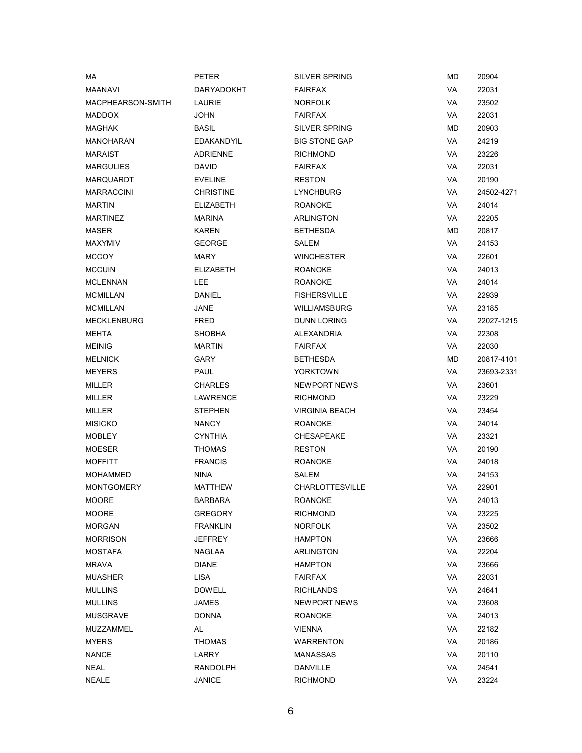| МA                 | <b>PETER</b>     | <b>SILVER SPRING</b>   | <b>MD</b> | 20904      |
|--------------------|------------------|------------------------|-----------|------------|
| <b>MAANAVI</b>     | DARYADOKHT       | <b>FAIRFAX</b>         | VA        | 22031      |
| MACPHEARSON-SMITH  | LAURIE           | <b>NORFOLK</b>         | VA        | 23502      |
| <b>MADDOX</b>      | <b>JOHN</b>      | <b>FAIRFAX</b>         | VA        | 22031      |
| <b>MAGHAK</b>      | <b>BASIL</b>     | <b>SILVER SPRING</b>   | MD        | 20903      |
| <b>MANOHARAN</b>   | EDAKANDYIL       | <b>BIG STONE GAP</b>   | VA        | 24219      |
| <b>MARAIST</b>     | <b>ADRIENNE</b>  | <b>RICHMOND</b>        | VA        | 23226      |
| <b>MARGULIES</b>   | <b>DAVID</b>     | <b>FAIRFAX</b>         | VA        | 22031      |
| MARQUARDT          | <b>EVELINE</b>   | <b>RESTON</b>          | VA        | 20190      |
| <b>MARRACCINI</b>  | <b>CHRISTINE</b> | <b>LYNCHBURG</b>       | VA        | 24502-4271 |
| <b>MARTIN</b>      | <b>ELIZABETH</b> | <b>ROANOKE</b>         | VA        | 24014      |
| <b>MARTINEZ</b>    | <b>MARINA</b>    | <b>ARLINGTON</b>       | VA        | 22205      |
| <b>MASER</b>       | <b>KAREN</b>     | <b>BETHESDA</b>        | MD        | 20817      |
| <b>MAXYMIV</b>     | <b>GEORGE</b>    | SALEM                  | VA        | 24153      |
| <b>MCCOY</b>       | MARY             | <b>WINCHESTER</b>      | VA        | 22601      |
| <b>MCCUIN</b>      | <b>ELIZABETH</b> | <b>ROANOKE</b>         | VA        | 24013      |
| <b>MCLENNAN</b>    | LEE              | <b>ROANOKE</b>         | VA        | 24014      |
| <b>MCMILLAN</b>    | <b>DANIEL</b>    | <b>FISHERSVILLE</b>    | VA        | 22939      |
| <b>MCMILLAN</b>    | JANE             | <b>WILLIAMSBURG</b>    | VA        | 23185      |
| <b>MECKLENBURG</b> | FRED             | <b>DUNN LORING</b>     | VA        | 22027-1215 |
| MEHTA              | <b>SHOBHA</b>    | ALEXANDRIA             | VA        | 22308      |
| <b>MEINIG</b>      | <b>MARTIN</b>    | <b>FAIRFAX</b>         | VA        | 22030      |
| <b>MELNICK</b>     | GARY             | <b>BETHESDA</b>        | MD        | 20817-4101 |
| <b>MEYERS</b>      | PAUL             | <b>YORKTOWN</b>        | VA        | 23693-2331 |
| MILLER             | <b>CHARLES</b>   | <b>NEWPORT NEWS</b>    | VA        | 23601      |
| MILLER             | LAWRENCE         | <b>RICHMOND</b>        | VA        | 23229      |
| <b>MILLER</b>      | <b>STEPHEN</b>   | <b>VIRGINIA BEACH</b>  | VA        | 23454      |
| <b>MISICKO</b>     | <b>NANCY</b>     | <b>ROANOKE</b>         | VA        | 24014      |
| <b>MOBLEY</b>      | <b>CYNTHIA</b>   | <b>CHESAPEAKE</b>      | VA        | 23321      |
| <b>MOESER</b>      | <b>THOMAS</b>    | <b>RESTON</b>          | VA        | 20190      |
| <b>MOFFITT</b>     | <b>FRANCIS</b>   | <b>ROANOKE</b>         | VA        | 24018      |
| <b>MOHAMMED</b>    | <b>NINA</b>      | SALEM                  | VA        | 24153      |
| <b>MONTGOMERY</b>  | <b>MATTHEW</b>   | <b>CHARLOTTESVILLE</b> | VA        | 22901      |
| <b>MOORE</b>       | <b>BARBARA</b>   | <b>ROANOKE</b>         | VA        | 24013      |
| <b>MOORE</b>       | <b>GREGORY</b>   | <b>RICHMOND</b>        | VA        | 23225      |
| <b>MORGAN</b>      | <b>FRANKLIN</b>  | <b>NORFOLK</b>         | VA        | 23502      |
| <b>MORRISON</b>    | <b>JEFFREY</b>   | <b>HAMPTON</b>         | VA        | 23666      |
| <b>MOSTAFA</b>     | NAGLAA           | ARLINGTON              | VA        | 22204      |
| MRAVA              | <b>DIANE</b>     | <b>HAMPTON</b>         | VA        | 23666      |
| <b>MUASHER</b>     | <b>LISA</b>      | <b>FAIRFAX</b>         | VA        | 22031      |
| <b>MULLINS</b>     | <b>DOWELL</b>    | RICHLANDS              | VA        | 24641      |
| <b>MULLINS</b>     | <b>JAMES</b>     | NEWPORT NEWS           | VA        | 23608      |
| <b>MUSGRAVE</b>    | <b>DONNA</b>     | <b>ROANOKE</b>         | VA        | 24013      |
| MUZZAMMEL          | AL               | <b>VIENNA</b>          | VA        | 22182      |
| <b>MYERS</b>       | <b>THOMAS</b>    | <b>WARRENTON</b>       | VA        | 20186      |
| <b>NANCE</b>       | LARRY            | <b>MANASSAS</b>        | VA        | 20110      |
| NEAL               | RANDOLPH         | <b>DANVILLE</b>        | VA        | 24541      |
| <b>NEALE</b>       | <b>JANICE</b>    | <b>RICHMOND</b>        | VA        | 23224      |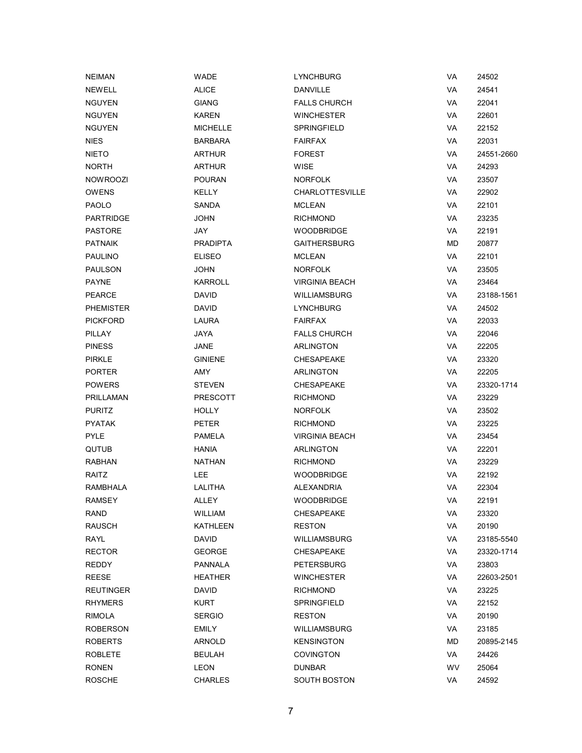| <b>NEIMAN</b>   | WADE            | <b>LYNCHBURG</b>       | VA | 24502      |
|-----------------|-----------------|------------------------|----|------------|
| <b>NEWELL</b>   | <b>ALICE</b>    | <b>DANVILLE</b>        | VA | 24541      |
| <b>NGUYEN</b>   | <b>GIANG</b>    | <b>FALLS CHURCH</b>    | VA | 22041      |
| <b>NGUYEN</b>   | <b>KAREN</b>    | <b>WINCHESTER</b>      | VA | 22601      |
| <b>NGUYEN</b>   | <b>MICHELLE</b> | SPRINGFIELD            | VA | 22152      |
| NIES            | <b>BARBARA</b>  | <b>FAIRFAX</b>         | VA | 22031      |
| <b>NIETO</b>    | <b>ARTHUR</b>   | <b>FOREST</b>          | VA | 24551-2660 |
| <b>NORTH</b>    | <b>ARTHUR</b>   | <b>WISE</b>            | VA | 24293      |
| <b>NOWROOZI</b> | <b>POURAN</b>   | <b>NORFOLK</b>         | VA | 23507      |
| <b>OWENS</b>    | <b>KELLY</b>    | <b>CHARLOTTESVILLE</b> | VA | 22902      |
| PAOLO           | SANDA           | <b>MCLEAN</b>          | VA | 22101      |
| PARTRIDGE       | <b>JOHN</b>     | <b>RICHMOND</b>        | VA | 23235      |
| <b>PASTORE</b>  | JAY             | <b>WOODBRIDGE</b>      | VA | 22191      |
| <b>PATNAIK</b>  | <b>PRADIPTA</b> | <b>GAITHERSBURG</b>    | MD | 20877      |
| PAULINO         | <b>ELISEO</b>   | <b>MCLEAN</b>          | VA | 22101      |
| PAULSON         | <b>JOHN</b>     | <b>NORFOLK</b>         | VA | 23505      |
| <b>PAYNE</b>    | <b>KARROLL</b>  | <b>VIRGINIA BEACH</b>  | VA | 23464      |
| PEARCE          | <b>DAVID</b>    | <b>WILLIAMSBURG</b>    | VA | 23188-1561 |
| PHEMISTER       | <b>DAVID</b>    | <b>LYNCHBURG</b>       | VA | 24502      |
| <b>PICKFORD</b> | LAURA           | <b>FAIRFAX</b>         | VA | 22033      |
| PILLAY          | JAYA            | <b>FALLS CHURCH</b>    | VA | 22046      |
| <b>PINESS</b>   | <b>JANE</b>     | <b>ARLINGTON</b>       | VA | 22205      |
| PIRKLE          | <b>GINIENE</b>  | <b>CHESAPEAKE</b>      | VA | 23320      |
| PORTER          | AMY             | ARLINGTON              | VA | 22205      |
| POWERS          | <b>STEVEN</b>   | <b>CHESAPEAKE</b>      | VA | 23320-1714 |
| PRILLAMAN       | <b>PRESCOTT</b> | <b>RICHMOND</b>        | VA | 23229      |
| <b>PURITZ</b>   | <b>HOLLY</b>    | <b>NORFOLK</b>         | VA | 23502      |
| PYATAK          | <b>PETER</b>    | <b>RICHMOND</b>        | VA | 23225      |
| <b>PYLE</b>     | <b>PAMELA</b>   | <b>VIRGINIA BEACH</b>  | VA | 23454      |
| <b>QUTUB</b>    | <b>HANIA</b>    | ARLINGTON              | VA | 22201      |
| <b>RABHAN</b>   | <b>NATHAN</b>   | <b>RICHMOND</b>        | VA | 23229      |
| RAITZ           | <b>LEE</b>      | <b>WOODBRIDGE</b>      | VA | 22192      |
| RAMBHALA        | LALITHA         | ALEXANDRIA             | VA | 22304      |
| <b>RAMSEY</b>   | <b>ALLEY</b>    | <b>WOODBRIDGE</b>      | VA | 22191      |
| RAND            | <b>WILLIAM</b>  | CHESAPEAKE             | VA | 23320      |
| RAUSCH          | <b>KATHLEEN</b> | <b>RESTON</b>          | VA | 20190      |
| RAYL            | <b>DAVID</b>    | WILLIAMSBURG           | VA | 23185-5540 |
| RECTOR          | <b>GEORGE</b>   | <b>CHESAPEAKE</b>      | VA | 23320-1714 |
| REDDY           | PANNALA         | PETERSBURG             | VA | 23803      |
| REESE           | <b>HEATHER</b>  | <b>WINCHESTER</b>      | VA | 22603-2501 |
| REUTINGER       | DAVID           | <b>RICHMOND</b>        | VA | 23225      |
| RHYMERS         | <b>KURT</b>     | <b>SPRINGFIELD</b>     | VA | 22152      |
| <b>RIMOLA</b>   | <b>SERGIO</b>   | <b>RESTON</b>          | VA | 20190      |
| <b>ROBERSON</b> | <b>EMILY</b>    | <b>WILLIAMSBURG</b>    | VA | 23185      |
| ROBERTS         | <b>ARNOLD</b>   | <b>KENSINGTON</b>      | МD | 20895-2145 |
| ROBLETE         | <b>BEULAH</b>   | <b>COVINGTON</b>       | VA | 24426      |
| RONEN           | LEON            | <b>DUNBAR</b>          | WV | 25064      |
| <b>ROSCHE</b>   | <b>CHARLES</b>  | <b>SOUTH BOSTON</b>    | VA | 24592      |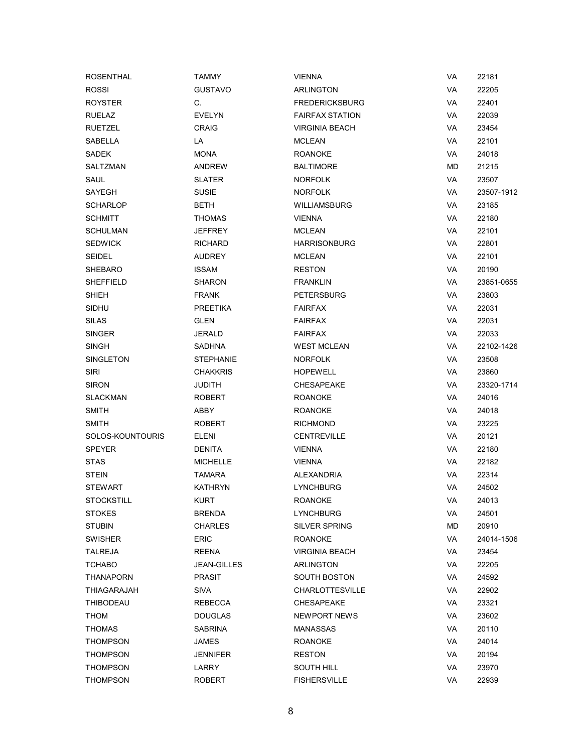| <b>ROSENTHAL</b>  | <b>TAMMY</b>       | <b>VIENNA</b>          | VA | 22181      |
|-------------------|--------------------|------------------------|----|------------|
| <b>ROSSI</b>      | <b>GUSTAVO</b>     | ARLINGTON              | VA | 22205      |
| <b>ROYSTER</b>    | C.                 | <b>FREDERICKSBURG</b>  | VA | 22401      |
| <b>RUELAZ</b>     | <b>EVELYN</b>      | <b>FAIRFAX STATION</b> | VA | 22039      |
| <b>RUETZEL</b>    | <b>CRAIG</b>       | <b>VIRGINIA BEACH</b>  | VA | 23454      |
| SABELLA           | LA                 | <b>MCLEAN</b>          | VA | 22101      |
| <b>SADEK</b>      | <b>MONA</b>        | <b>ROANOKE</b>         | VA | 24018      |
| SALTZMAN          | <b>ANDREW</b>      | <b>BALTIMORE</b>       | МD | 21215      |
| SAUL              | <b>SLATER</b>      | <b>NORFOLK</b>         | VA | 23507      |
| SAYEGH            | <b>SUSIE</b>       | <b>NORFOLK</b>         | VA | 23507-1912 |
| <b>SCHARLOP</b>   | <b>BETH</b>        | <b>WILLIAMSBURG</b>    | VA | 23185      |
| <b>SCHMITT</b>    | <b>THOMAS</b>      | <b>VIENNA</b>          | VA | 22180      |
| <b>SCHULMAN</b>   | JEFFREY            | <b>MCLEAN</b>          | VA | 22101      |
| <b>SEDWICK</b>    | <b>RICHARD</b>     | <b>HARRISONBURG</b>    | VA | 22801      |
| <b>SEIDEL</b>     | <b>AUDREY</b>      | <b>MCLEAN</b>          | VA | 22101      |
| SHEBARO           | <b>ISSAM</b>       | <b>RESTON</b>          | VA | 20190      |
| SHEFFIELD         | <b>SHARON</b>      | <b>FRANKLIN</b>        | VA | 23851-0655 |
| SHIEH             | <b>FRANK</b>       | <b>PETERSBURG</b>      | VA | 23803      |
| SIDHU             | <b>PREETIKA</b>    | <b>FAIRFAX</b>         | VA | 22031      |
| <b>SILAS</b>      | <b>GLEN</b>        | <b>FAIRFAX</b>         | VA | 22031      |
| <b>SINGER</b>     | JERALD             | <b>FAIRFAX</b>         | VA | 22033      |
| <b>SINGH</b>      | <b>SADHNA</b>      | <b>WEST MCLEAN</b>     | VA | 22102-1426 |
| SINGLETON         | <b>STEPHANIE</b>   | <b>NORFOLK</b>         | VA | 23508      |
| <b>SIRI</b>       | <b>CHAKKRIS</b>    | <b>HOPEWELL</b>        | VA | 23860      |
| <b>SIRON</b>      | <b>JUDITH</b>      | <b>CHESAPEAKE</b>      | VA | 23320-1714 |
| <b>SLACKMAN</b>   | ROBERT             | <b>ROANOKE</b>         | VA | 24016      |
| <b>SMITH</b>      | ABBY               | <b>ROANOKE</b>         | VA | 24018      |
| <b>SMITH</b>      | <b>ROBERT</b>      | <b>RICHMOND</b>        | VA | 23225      |
| SOLOS-KOUNTOURIS  | ELENI              | <b>CENTREVILLE</b>     | VA | 20121      |
| <b>SPEYER</b>     | <b>DENITA</b>      | <b>VIENNA</b>          | VA | 22180      |
| <b>STAS</b>       | <b>MICHELLE</b>    | <b>VIENNA</b>          | VA | 22182      |
| <b>STEIN</b>      | <b>TAMARA</b>      | ALEXANDRIA             | VA | 22314      |
| <b>STEWART</b>    | <b>KATHRYN</b>     | <b>LYNCHBURG</b>       | VA | 24502      |
| <b>STOCKSTILL</b> | <b>KURT</b>        | <b>ROANOKE</b>         | VA | 24013      |
| <b>STOKES</b>     | <b>BRENDA</b>      | <b>LYNCHBURG</b>       | VA | 24501      |
| <b>STUBIN</b>     | <b>CHARLES</b>     | <b>SILVER SPRING</b>   | MD | 20910      |
| SWISHER           | <b>ERIC</b>        | <b>ROANOKE</b>         | VA | 24014-1506 |
| TALREJA           | REENA              | <b>VIRGINIA BEACH</b>  | VA | 23454      |
| <b>TCHABO</b>     | <b>JEAN-GILLES</b> | ARLINGTON              | VA | 22205      |
| THANAPORN         | <b>PRASIT</b>      | <b>SOUTH BOSTON</b>    | VA | 24592      |
| THIAGARAJAH       | SIVA               | <b>CHARLOTTESVILLE</b> | VA | 22902      |
| <b>THIBODEAU</b>  | REBECCA            | <b>CHESAPEAKE</b>      | VA | 23321      |
| <b>THOM</b>       | <b>DOUGLAS</b>     | NEWPORT NEWS           | VA | 23602      |
| <b>THOMAS</b>     | <b>SABRINA</b>     | <b>MANASSAS</b>        | VA | 20110      |
| THOMPSON          | JAMES              | <b>ROANOKE</b>         | VA | 24014      |
| THOMPSON          | <b>JENNIFER</b>    | <b>RESTON</b>          | VA | 20194      |
| THOMPSON          | LARRY              | <b>SOUTH HILL</b>      | VA | 23970      |
| <b>THOMPSON</b>   | ROBERT             | <b>FISHERSVILLE</b>    | VA | 22939      |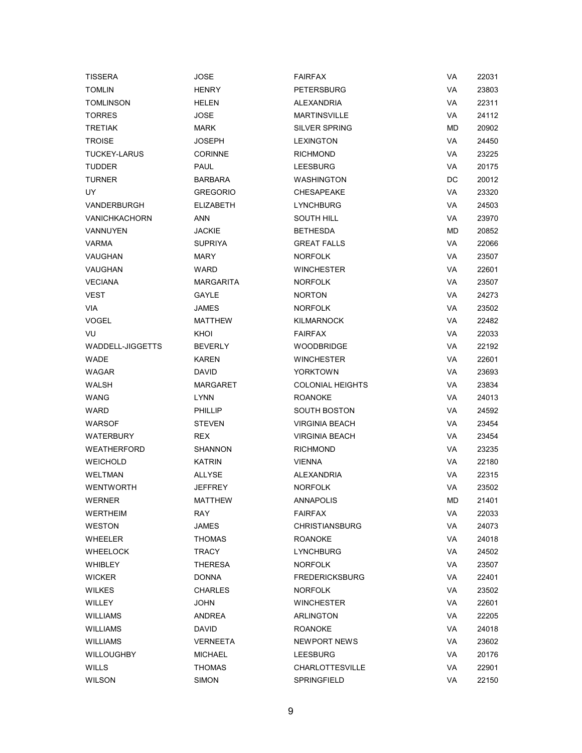| <b>TISSERA</b>          | <b>JOSE</b>      | <b>FAIRFAX</b>          | <b>VA</b> | 22031 |
|-------------------------|------------------|-------------------------|-----------|-------|
| <b>TOMLIN</b>           | <b>HENRY</b>     | <b>PETERSBURG</b>       | <b>VA</b> | 23803 |
| <b>TOMLINSON</b>        | HELEN            | <b>ALEXANDRIA</b>       | <b>VA</b> | 22311 |
| <b>TORRES</b>           | JOSE             | <b>MARTINSVILLE</b>     | <b>VA</b> | 24112 |
| <b>TRETIAK</b>          | <b>MARK</b>      | <b>SILVER SPRING</b>    | MD        | 20902 |
| <b>TROISE</b>           | <b>JOSEPH</b>    | <b>LEXINGTON</b>        | <b>VA</b> | 24450 |
| <b>TUCKEY-LARUS</b>     | <b>CORINNE</b>   | <b>RICHMOND</b>         | <b>VA</b> | 23225 |
| <b>TUDDER</b>           | <b>PAUL</b>      | <b>LEESBURG</b>         | VA        | 20175 |
| <b>TURNER</b>           | <b>BARBARA</b>   | <b>WASHINGTON</b>       | DC        | 20012 |
| UY                      | <b>GREGORIO</b>  | <b>CHESAPEAKE</b>       | VA        | 23320 |
| <b>VANDERBURGH</b>      | <b>ELIZABETH</b> | <b>LYNCHBURG</b>        | <b>VA</b> | 24503 |
| <b>VANICHKACHORN</b>    | <b>ANN</b>       | <b>SOUTH HILL</b>       | <b>VA</b> | 23970 |
| VANNUYEN                | <b>JACKIE</b>    | <b>BETHESDA</b>         | МD        | 20852 |
| <b>VARMA</b>            | <b>SUPRIYA</b>   | <b>GREAT FALLS</b>      | VA        | 22066 |
| VAUGHAN                 | <b>MARY</b>      | <b>NORFOLK</b>          | VA        | 23507 |
| VAUGHAN                 | <b>WARD</b>      | <b>WINCHESTER</b>       | <b>VA</b> | 22601 |
| <b>VECIANA</b>          | <b>MARGARITA</b> | <b>NORFOLK</b>          | <b>VA</b> | 23507 |
| <b>VEST</b>             | GAYLE            | <b>NORTON</b>           | VA        | 24273 |
| VIA                     | JAMES            | <b>NORFOLK</b>          | <b>VA</b> | 23502 |
| <b>VOGEL</b>            | <b>MATTHEW</b>   | <b>KILMARNOCK</b>       | <b>VA</b> | 22482 |
| VU                      | KHOI             | <b>FAIRFAX</b>          | <b>VA</b> | 22033 |
| <b>WADDELL-JIGGETTS</b> | <b>BEVERLY</b>   | <b>WOODBRIDGE</b>       | VA        | 22192 |
| <b>WADE</b>             | <b>KAREN</b>     | <b>WINCHESTER</b>       | VA        | 22601 |
| <b>WAGAR</b>            | <b>DAVID</b>     | <b>YORKTOWN</b>         | <b>VA</b> | 23693 |
| WALSH                   | MARGARET         | <b>COLONIAL HEIGHTS</b> | <b>VA</b> | 23834 |
| WANG                    | <b>LYNN</b>      | <b>ROANOKE</b>          | VA        | 24013 |
| <b>WARD</b>             | <b>PHILLIP</b>   | <b>SOUTH BOSTON</b>     | <b>VA</b> | 24592 |
| <b>WARSOF</b>           | <b>STEVEN</b>    | <b>VIRGINIA BEACH</b>   | <b>VA</b> | 23454 |
| WATERBURY               | <b>REX</b>       | <b>VIRGINIA BEACH</b>   | <b>VA</b> | 23454 |
| <b>WEATHERFORD</b>      | <b>SHANNON</b>   | <b>RICHMOND</b>         | VA        | 23235 |
| <b>WEICHOLD</b>         | <b>KATRIN</b>    | <b>VIENNA</b>           | VA        | 22180 |
| <b>WELTMAN</b>          | <b>ALLYSE</b>    | <b>ALEXANDRIA</b>       | VA        | 22315 |
| <b>WENTWORTH</b>        | <b>JEFFREY</b>   | <b>NORFOLK</b>          | VA        | 23502 |
| WERNER                  | <b>MATTHEW</b>   | ANNAPOLIS               | <b>MD</b> | 21401 |
| WERTHEIM                | RAY              | FAIRFAX                 | VA        | 22033 |
| <b>WESTON</b>           | <b>JAMES</b>     | <b>CHRISTIANSBURG</b>   | VA        | 24073 |
| <b>WHEELER</b>          | THOMAS           | <b>ROANOKE</b>          | VA        | 24018 |
| <b>WHEELOCK</b>         | TRACY            | <b>LYNCHBURG</b>        | VA        | 24502 |
| <b>WHIBLEY</b>          | THERESA          | <b>NORFOLK</b>          | VA        | 23507 |
| <b>WICKER</b>           | <b>DONNA</b>     | <b>FREDERICKSBURG</b>   | VA        | 22401 |
| <b>WILKES</b>           | <b>CHARLES</b>   | <b>NORFOLK</b>          | VA        | 23502 |
| WILLEY                  | <b>JOHN</b>      | <b>WINCHESTER</b>       | VA        | 22601 |
| <b>WILLIAMS</b>         | ANDREA           | ARLINGTON               | VA        | 22205 |
| <b>WILLIAMS</b>         | <b>DAVID</b>     | <b>ROANOKE</b>          | VA        | 24018 |
| <b>WILLIAMS</b>         | VERNEETA         | NEWPORT NEWS            | VA        | 23602 |
| <b>WILLOUGHBY</b>       | <b>MICHAEL</b>   | <b>LEESBURG</b>         | VA        | 20176 |
| <b>WILLS</b>            | <b>THOMAS</b>    | <b>CHARLOTTESVILLE</b>  | VA        | 22901 |
| <b>WILSON</b>           | <b>SIMON</b>     | SPRINGFIELD             | VA        | 22150 |
|                         |                  |                         |           |       |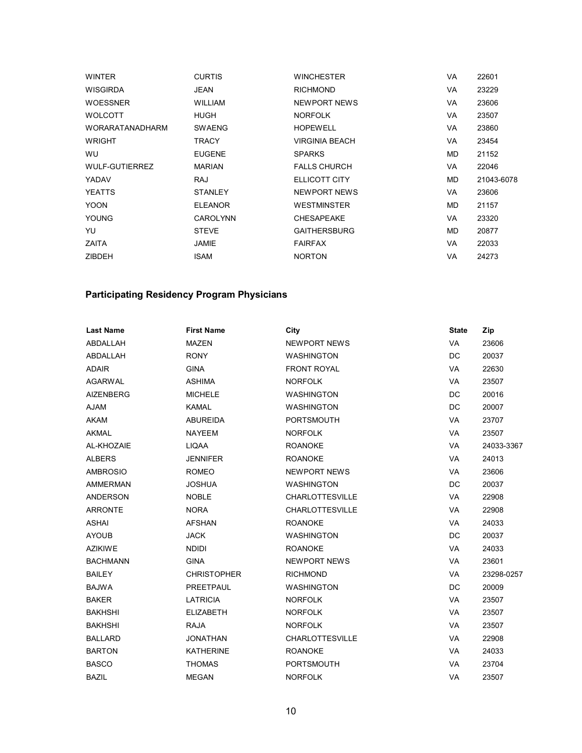| <b>WINTER</b>          | <b>CURTIS</b>   | <b>WINCHESTER</b>     | <b>VA</b> | 22601      |
|------------------------|-----------------|-----------------------|-----------|------------|
| <b>WISGIRDA</b>        | JEAN            | <b>RICHMOND</b>       | <b>VA</b> | 23229      |
| <b>WOESSNER</b>        | <b>WILLIAM</b>  | <b>NEWPORT NEWS</b>   | <b>VA</b> | 23606      |
| <b>WOLCOTT</b>         | <b>HUGH</b>     | <b>NORFOLK</b>        | <b>VA</b> | 23507      |
| <b>WORARATANADHARM</b> | <b>SWAENG</b>   | <b>HOPEWELL</b>       | VA        | 23860      |
| <b>WRIGHT</b>          | TRACY           | <b>VIRGINIA BEACH</b> | <b>VA</b> | 23454      |
| WU                     | <b>EUGENE</b>   | <b>SPARKS</b>         | MD.       | 21152      |
| WULF-GUTIERREZ         | <b>MARIAN</b>   | <b>FALLS CHURCH</b>   | VA.       | 22046      |
| YADAV                  | <b>RAJ</b>      | ELLICOTT CITY         | MD.       | 21043-6078 |
| <b>YEATTS</b>          | <b>STANLEY</b>  | NEWPORT NEWS          | <b>VA</b> | 23606      |
| <b>YOON</b>            | <b>ELEANOR</b>  | <b>WESTMINSTER</b>    | MD.       | 21157      |
| <b>YOUNG</b>           | <b>CAROLYNN</b> | <b>CHESAPEAKE</b>     | <b>VA</b> | 23320      |
| YU                     | <b>STEVE</b>    | <b>GAITHERSBURG</b>   | MD.       | 20877      |
| ZAITA                  | <b>JAMIE</b>    | <b>FAIRFAX</b>        | <b>VA</b> | 22033      |
| <b>ZIBDEH</b>          | <b>ISAM</b>     | <b>NORTON</b>         | VA        | 24273      |

## **Participating Residency Program Physicians**

| <b>Last Name</b> | <b>First Name</b>  | City                   | <b>State</b> | Zip        |
|------------------|--------------------|------------------------|--------------|------------|
| ABDALLAH         | <b>MAZEN</b>       | <b>NEWPORT NEWS</b>    | VA           | 23606      |
| ABDALLAH         | <b>RONY</b>        | <b>WASHINGTON</b>      | <b>DC</b>    | 20037      |
| <b>ADAIR</b>     | <b>GINA</b>        | <b>FRONT ROYAL</b>     | <b>VA</b>    | 22630      |
| <b>AGARWAL</b>   | <b>ASHIMA</b>      | <b>NORFOLK</b>         | <b>VA</b>    | 23507      |
| <b>AIZENBERG</b> | <b>MICHELE</b>     | <b>WASHINGTON</b>      | DC           | 20016      |
| <b>AJAM</b>      | <b>KAMAL</b>       | <b>WASHINGTON</b>      | DC           | 20007      |
| <b>AKAM</b>      | <b>ABUREIDA</b>    | <b>PORTSMOUTH</b>      | <b>VA</b>    | 23707      |
| <b>AKMAL</b>     | <b>NAYEEM</b>      | <b>NORFOLK</b>         | VA           | 23507      |
| AL-KHOZAIE       | <b>LIQAA</b>       | <b>ROANOKE</b>         | VA           | 24033-3367 |
| <b>ALBERS</b>    | <b>JENNIFER</b>    | <b>ROANOKE</b>         | <b>VA</b>    | 24013      |
| <b>AMBROSIO</b>  | <b>ROMEO</b>       | <b>NEWPORT NEWS</b>    | <b>VA</b>    | 23606      |
| <b>AMMERMAN</b>  | <b>JOSHUA</b>      | <b>WASHINGTON</b>      | DC           | 20037      |
| <b>ANDERSON</b>  | <b>NOBLE</b>       | <b>CHARLOTTESVILLE</b> | <b>VA</b>    | 22908      |
| <b>ARRONTE</b>   | <b>NORA</b>        | <b>CHARLOTTESVILLE</b> | <b>VA</b>    | 22908      |
| <b>ASHAI</b>     | <b>AFSHAN</b>      | <b>ROANOKE</b>         | <b>VA</b>    | 24033      |
| <b>AYOUB</b>     | <b>JACK</b>        | <b>WASHINGTON</b>      | <b>DC</b>    | 20037      |
| <b>AZIKIWE</b>   | <b>NDIDI</b>       | <b>ROANOKE</b>         | VA           | 24033      |
| <b>BACHMANN</b>  | <b>GINA</b>        | <b>NEWPORT NEWS</b>    | VA           | 23601      |
| <b>BAILEY</b>    | <b>CHRISTOPHER</b> | <b>RICHMOND</b>        | <b>VA</b>    | 23298-0257 |
| <b>BAJWA</b>     | PREETPAUL          | <b>WASHINGTON</b>      | DC.          | 20009      |
| <b>BAKER</b>     | <b>LATRICIA</b>    | <b>NORFOLK</b>         | <b>VA</b>    | 23507      |
| <b>BAKHSHI</b>   | <b>ELIZABETH</b>   | <b>NORFOLK</b>         | <b>VA</b>    | 23507      |
| <b>BAKHSHI</b>   | <b>RAJA</b>        | <b>NORFOLK</b>         | VA           | 23507      |
| <b>BALLARD</b>   | <b>JONATHAN</b>    | <b>CHARLOTTESVILLE</b> | <b>VA</b>    | 22908      |
| <b>BARTON</b>    | <b>KATHERINE</b>   | <b>ROANOKE</b>         | <b>VA</b>    | 24033      |
| <b>BASCO</b>     | <b>THOMAS</b>      | <b>PORTSMOUTH</b>      | VA           | 23704      |
| <b>BAZIL</b>     | <b>MEGAN</b>       | <b>NORFOLK</b>         | <b>VA</b>    | 23507      |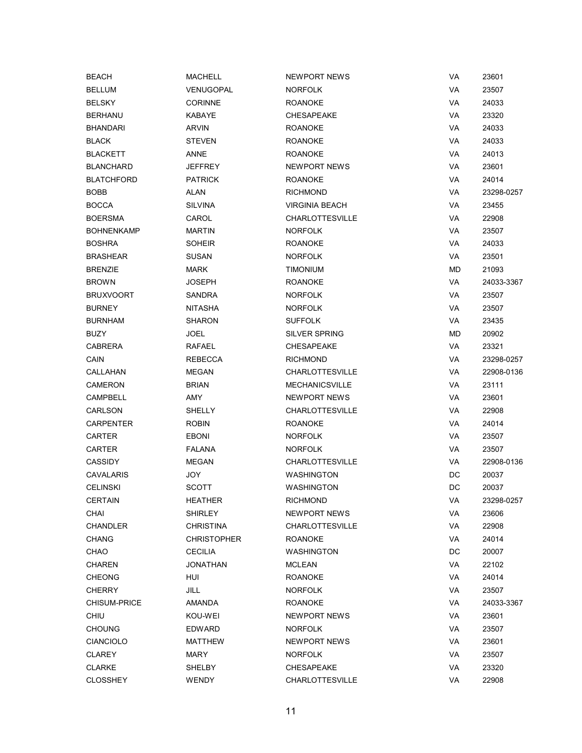| <b>BEACH</b>        | MACHELL            | <b>NEWPORT NEWS</b>    | VA | 23601      |
|---------------------|--------------------|------------------------|----|------------|
| <b>BELLUM</b>       | VENUGOPAL          | <b>NORFOLK</b>         | VA | 23507      |
| <b>BELSKY</b>       | <b>CORINNE</b>     | <b>ROANOKE</b>         | VA | 24033      |
| <b>BERHANU</b>      | KABAYE             | <b>CHESAPEAKE</b>      | VA | 23320      |
| <b>BHANDARI</b>     | <b>ARVIN</b>       | <b>ROANOKE</b>         | VA | 24033      |
| <b>BLACK</b>        | STEVEN             | <b>ROANOKE</b>         | VA | 24033      |
| <b>BLACKETT</b>     | ANNE               | <b>ROANOKE</b>         | VA | 24013      |
| <b>BLANCHARD</b>    | <b>JEFFREY</b>     | NEWPORT NEWS           | VA | 23601      |
| <b>BLATCHFORD</b>   | <b>PATRICK</b>     | <b>ROANOKE</b>         | VA | 24014      |
| BOBB                | ALAN               | <b>RICHMOND</b>        | VA | 23298-0257 |
| <b>BOCCA</b>        | SILVINA            | <b>VIRGINIA BEACH</b>  | VA | 23455      |
| <b>BOERSMA</b>      | CAROL              | <b>CHARLOTTESVILLE</b> | VA | 22908      |
| <b>BOHNENKAMP</b>   | MARTIN             | <b>NORFOLK</b>         | VA | 23507      |
| <b>BOSHRA</b>       | SOHEIR             | <b>ROANOKE</b>         | VA | 24033      |
| <b>BRASHEAR</b>     | SUSAN              | <b>NORFOLK</b>         | VA | 23501      |
| <b>BRENZIE</b>      | MARK               | <b>TIMONIUM</b>        | MD | 21093      |
| <b>BROWN</b>        | JOSEPH             | <b>ROANOKE</b>         | VA | 24033-3367 |
| <b>BRUXVOORT</b>    | SANDRA             | <b>NORFOLK</b>         | VA | 23507      |
| <b>BURNEY</b>       | NITASHA            | <b>NORFOLK</b>         | VA | 23507      |
| <b>BURNHAM</b>      | SHARON             | <b>SUFFOLK</b>         | VA | 23435      |
| BUZY                | JOEL               | <b>SILVER SPRING</b>   | MD | 20902      |
| <b>CABRERA</b>      | RAFAEL             | <b>CHESAPEAKE</b>      | VA | 23321      |
| CAIN                | <b>REBECCA</b>     | <b>RICHMOND</b>        | VA | 23298-0257 |
| CALLAHAN            | <b>MEGAN</b>       | <b>CHARLOTTESVILLE</b> | VA | 22908-0136 |
| CAMERON             | <b>BRIAN</b>       | <b>MECHANICSVILLE</b>  | VA | 23111      |
| <b>CAMPBELL</b>     | AMY                | <b>NEWPORT NEWS</b>    | VA | 23601      |
| CARLSON             | SHELLY             | <b>CHARLOTTESVILLE</b> | VA | 22908      |
| <b>CARPENTER</b>    | <b>ROBIN</b>       | <b>ROANOKE</b>         | VA | 24014      |
| CARTER              | <b>EBONI</b>       | <b>NORFOLK</b>         | VA | 23507      |
| <b>CARTER</b>       | FALANA             | <b>NORFOLK</b>         | VA | 23507      |
| <b>CASSIDY</b>      | <b>MEGAN</b>       | <b>CHARLOTTESVILLE</b> | VA | 22908-0136 |
| <b>CAVALARIS</b>    | JOY                | <b>WASHINGTON</b>      | DC | 20037      |
| <b>CELINSKI</b>     | <b>SCOTT</b>       | <b>WASHINGTON</b>      | DC | 20037      |
| <b>CERTAIN</b>      | <b>HEATHER</b>     | <b>RICHMOND</b>        | VA | 23298-0257 |
| CHAI                | SHIRLEY            | NEWPORT NEWS           | VA | 23606      |
| <b>CHANDLER</b>     | CHRISTINA          | <b>CHARLOTTESVILLE</b> | VA | 22908      |
| <b>CHANG</b>        | <b>CHRISTOPHER</b> | <b>ROANOKE</b>         | VA | 24014      |
| CHAO                | <b>CECILIA</b>     | <b>WASHINGTON</b>      | DC | 20007      |
| <b>CHAREN</b>       | JONATHAN           | <b>MCLEAN</b>          | VA | 22102      |
| <b>CHEONG</b>       | HUI                | <b>ROANOKE</b>         | VA | 24014      |
| <b>CHERRY</b>       | JILL               | <b>NORFOLK</b>         | VA | 23507      |
| <b>CHISUM-PRICE</b> | AMANDA             | <b>ROANOKE</b>         | VA | 24033-3367 |
| <b>CHIU</b>         | KOU-WEI            | NEWPORT NEWS           | VA | 23601      |
| <b>CHOUNG</b>       | <b>EDWARD</b>      | <b>NORFOLK</b>         | VA | 23507      |
| <b>CIANCIOLO</b>    | MATTHEW            | NEWPORT NEWS           | VA | 23601      |
| <b>CLAREY</b>       | MARY               | <b>NORFOLK</b>         | VA | 23507      |
| <b>CLARKE</b>       | SHELBY             | <b>CHESAPEAKE</b>      | VA | 23320      |
| <b>CLOSSHEY</b>     | <b>WENDY</b>       | <b>CHARLOTTESVILLE</b> | VA | 22908      |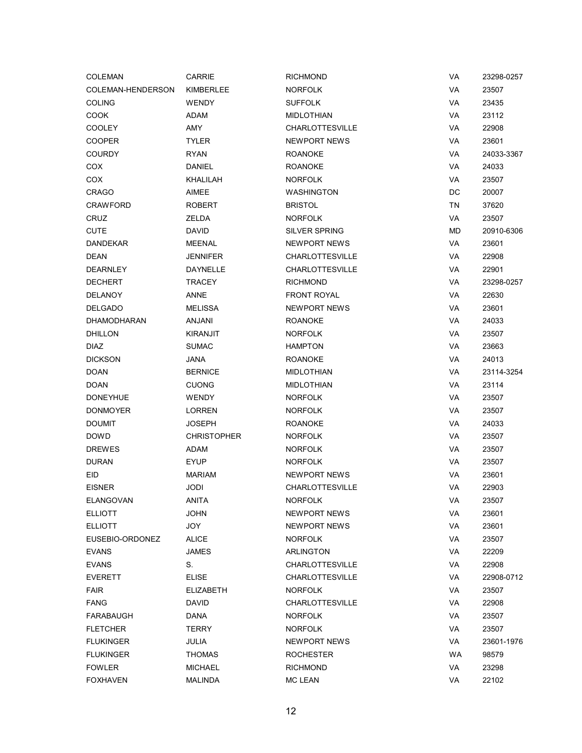| <b>COLEMAN</b>     | <b>CARRIE</b>      | <b>RICHMOND</b>        | VA        | 23298-0257 |
|--------------------|--------------------|------------------------|-----------|------------|
| COLEMAN-HENDERSON  | KIMBERLEE          | <b>NORFOLK</b>         | VA        | 23507      |
| <b>COLING</b>      | <b>WENDY</b>       | <b>SUFFOLK</b>         | VA        | 23435      |
| COOK               | ADAM               | <b>MIDLOTHIAN</b>      | <b>VA</b> | 23112      |
| <b>COOLEY</b>      | AMY                | <b>CHARLOTTESVILLE</b> | VA        | 22908      |
| <b>COOPER</b>      | <b>TYLER</b>       | NEWPORT NEWS           | VA        | 23601      |
| <b>COURDY</b>      | <b>RYAN</b>        | <b>ROANOKE</b>         | VA        | 24033-3367 |
| COX                | <b>DANIEL</b>      | <b>ROANOKE</b>         | VA        | 24033      |
| COX                | KHALILAH           | <b>NORFOLK</b>         | VA        | 23507      |
| <b>CRAGO</b>       | AIMEE              | WASHINGTON             | DC        | 20007      |
| <b>CRAWFORD</b>    | <b>ROBERT</b>      | <b>BRISTOL</b>         | TN        | 37620      |
| CRUZ               | <b>ZELDA</b>       | <b>NORFOLK</b>         | VA        | 23507      |
| <b>CUTE</b>        | <b>DAVID</b>       | <b>SILVER SPRING</b>   | MD        | 20910-6306 |
| <b>DANDEKAR</b>    | MEENAL             | NEWPORT NEWS           | VA        | 23601      |
| <b>DEAN</b>        | JENNIFER           | <b>CHARLOTTESVILLE</b> | VA        | 22908      |
| <b>DEARNLEY</b>    | <b>DAYNELLE</b>    | <b>CHARLOTTESVILLE</b> | VA        | 22901      |
| <b>DECHERT</b>     | <b>TRACEY</b>      | <b>RICHMOND</b>        | VA        | 23298-0257 |
| <b>DELANOY</b>     | ANNE               | <b>FRONT ROYAL</b>     | VA        | 22630      |
| <b>DELGADO</b>     | <b>MELISSA</b>     | <b>NEWPORT NEWS</b>    | VA        | 23601      |
| <b>DHAMODHARAN</b> | ANJANI             | <b>ROANOKE</b>         | <b>VA</b> | 24033      |
| DHILLON            | <b>KIRANJIT</b>    | <b>NORFOLK</b>         | VA        | 23507      |
| <b>DIAZ</b>        | <b>SUMAC</b>       | <b>HAMPTON</b>         | VA        | 23663      |
| <b>DICKSON</b>     | <b>JANA</b>        | <b>ROANOKE</b>         | VA        | 24013      |
| <b>DOAN</b>        | <b>BERNICE</b>     | <b>MIDLOTHIAN</b>      | VA        | 23114-3254 |
| <b>DOAN</b>        | <b>CUONG</b>       | <b>MIDLOTHIAN</b>      | VA        | 23114      |
| <b>DONEYHUE</b>    | <b>WENDY</b>       | <b>NORFOLK</b>         | VA        | 23507      |
| <b>DONMOYER</b>    | <b>LORREN</b>      | <b>NORFOLK</b>         | VA        | 23507      |
| <b>DOUMIT</b>      | <b>JOSEPH</b>      | <b>ROANOKE</b>         | <b>VA</b> | 24033      |
| <b>DOWD</b>        | <b>CHRISTOPHER</b> | <b>NORFOLK</b>         | VA        | 23507      |
| <b>DREWES</b>      | ADAM               | <b>NORFOLK</b>         | VA        | 23507      |
| <b>DURAN</b>       | <b>EYUP</b>        | <b>NORFOLK</b>         | VA        | 23507      |
| <b>EID</b>         | <b>MARIAM</b>      | <b>NEWPORT NEWS</b>    | VA        | 23601      |
| <b>EISNER</b>      | JODI               | <b>CHARLOTTESVILLE</b> | VA        | 22903      |
| ELANGOVAN          | ANITA              | NORFOLK                | VA        | 23507      |
| <b>ELLIOTT</b>     | <b>JOHN</b>        | NEWPORT NEWS           | VA        | 23601      |
| <b>ELLIOTT</b>     | JOY                | NEWPORT NEWS           | VA        | 23601      |
| EUSEBIO-ORDONEZ    | <b>ALICE</b>       | <b>NORFOLK</b>         | VA        | 23507      |
| <b>EVANS</b>       | JAMES              | ARLINGTON              | VA        | 22209      |
| <b>EVANS</b>       | S.                 | <b>CHARLOTTESVILLE</b> | VA        | 22908      |
| <b>EVERETT</b>     | <b>ELISE</b>       | <b>CHARLOTTESVILLE</b> | VA        | 22908-0712 |
| <b>FAIR</b>        | <b>ELIZABETH</b>   | <b>NORFOLK</b>         | VA        | 23507      |
| <b>FANG</b>        | <b>DAVID</b>       | <b>CHARLOTTESVILLE</b> | VA        | 22908      |
| FARABAUGH          | DANA               | <b>NORFOLK</b>         | VA        | 23507      |
| <b>FLETCHER</b>    | <b>TERRY</b>       | <b>NORFOLK</b>         | VA        | 23507      |
| <b>FLUKINGER</b>   | JULIA              | NEWPORT NEWS           | VA        | 23601-1976 |
| <b>FLUKINGER</b>   | <b>THOMAS</b>      | ROCHESTER              | WA        | 98579      |
| <b>FOWLER</b>      | <b>MICHAEL</b>     | <b>RICHMOND</b>        | VA        | 23298      |
| <b>FOXHAVEN</b>    | <b>MALINDA</b>     | <b>MC LEAN</b>         | VA        | 22102      |
|                    |                    |                        |           |            |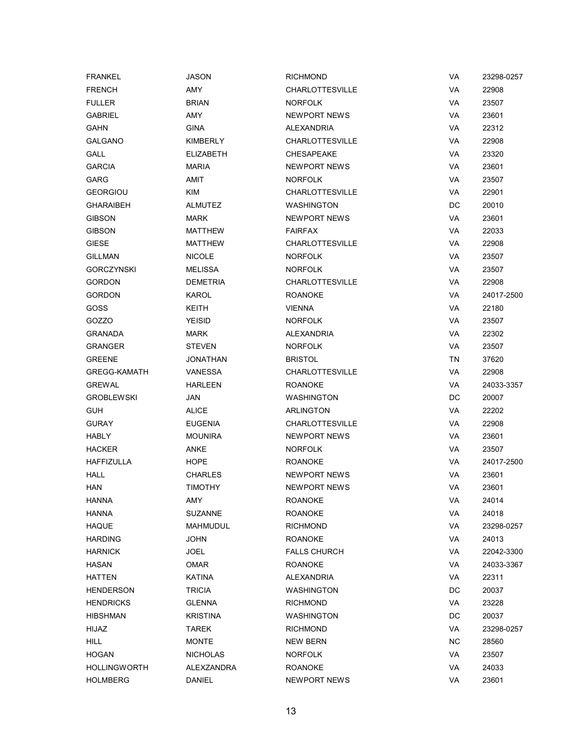| <b>FRANKEL</b>      | <b>JASON</b>     | <b>RICHMOND</b>        | <b>VA</b> | 23298-0257 |
|---------------------|------------------|------------------------|-----------|------------|
| <b>FRENCH</b>       | <b>AMY</b>       | <b>CHARLOTTESVILLE</b> | <b>VA</b> | 22908      |
| <b>FULLER</b>       | <b>BRIAN</b>     | <b>NORFOLK</b>         | VA        | 23507      |
| <b>GABRIEL</b>      | <b>AMY</b>       | <b>NEWPORT NEWS</b>    | VA        | 23601      |
| <b>GAHN</b>         | <b>GINA</b>      | <b>ALEXANDRIA</b>      | VA        | 22312      |
| <b>GALGANO</b>      | <b>KIMBERLY</b>  | <b>CHARLOTTESVILLE</b> | <b>VA</b> | 22908      |
| GALL                | <b>ELIZABETH</b> | <b>CHESAPEAKE</b>      | VA        | 23320      |
| <b>GARCIA</b>       | <b>MARIA</b>     | <b>NEWPORT NEWS</b>    | VA        | 23601      |
| <b>GARG</b>         | AMIT             | <b>NORFOLK</b>         | VA        | 23507      |
| <b>GEORGIOU</b>     | KIM              | <b>CHARLOTTESVILLE</b> | VA        | 22901      |
| <b>GHARAIBEH</b>    | <b>ALMUTEZ</b>   | WASHINGTON             | DC        | 20010      |
| <b>GIBSON</b>       | <b>MARK</b>      | <b>NEWPORT NEWS</b>    | VA        | 23601      |
| <b>GIBSON</b>       | <b>MATTHEW</b>   | FAIRFAX                | VA        | 22033      |
| <b>GIESE</b>        | <b>MATTHEW</b>   | <b>CHARLOTTESVILLE</b> | <b>VA</b> | 22908      |
| <b>GILLMAN</b>      | <b>NICOLE</b>    | <b>NORFOLK</b>         | VA        | 23507      |
| <b>GORCZYNSKI</b>   | <b>MELISSA</b>   | <b>NORFOLK</b>         | VA        | 23507      |
| <b>GORDON</b>       | <b>DEMETRIA</b>  | <b>CHARLOTTESVILLE</b> | VA        | 22908      |
| <b>GORDON</b>       | KAROL            | <b>ROANOKE</b>         | VA        | 24017-2500 |
| GOSS                | KEITH            | <b>VIENNA</b>          | <b>VA</b> | 22180      |
| GOZZO               | <b>YEISID</b>    | <b>NORFOLK</b>         | <b>VA</b> | 23507      |
| <b>GRANADA</b>      | <b>MARK</b>      | <b>ALEXANDRIA</b>      | VA        | 22302      |
| <b>GRANGER</b>      | <b>STEVEN</b>    | <b>NORFOLK</b>         | VA        | 23507      |
| <b>GREENE</b>       | JONATHAN         | <b>BRISTOL</b>         | TN        | 37620      |
| <b>GREGG-KAMATH</b> | <b>VANESSA</b>   | <b>CHARLOTTESVILLE</b> | VA        | 22908      |
| <b>GREWAL</b>       | <b>HARLEEN</b>   | <b>ROANOKE</b>         | VA        | 24033-3357 |
| <b>GROBLEWSKI</b>   | JAN              | WASHINGTON             | DC        | 20007      |
| <b>GUH</b>          | <b>ALICE</b>     | <b>ARLINGTON</b>       | VA        | 22202      |
| <b>GURAY</b>        | <b>EUGENIA</b>   | <b>CHARLOTTESVILLE</b> | <b>VA</b> | 22908      |
| <b>HABLY</b>        | <b>MOUNIRA</b>   | <b>NEWPORT NEWS</b>    | VA        | 23601      |
| <b>HACKER</b>       | ANKE             | <b>NORFOLK</b>         | VA        | 23507      |
| <b>HAFFIZULLA</b>   | <b>HOPE</b>      | <b>ROANOKE</b>         | VA        | 24017-2500 |
| <b>HALL</b>         | <b>CHARLES</b>   | <b>NEWPORT NEWS</b>    | VA        | 23601      |
| <b>HAN</b>          | <b>TIMOTHY</b>   | <b>NEWPORT NEWS</b>    | VA        | 23601      |
| <b>HANNA</b>        | AMY              | <b>ROANOKE</b>         | VA        | 24014      |
| <b>HANNA</b>        | <b>SUZANNE</b>   | ROANOKE                | VA        | 24018      |
| <b>HAQUE</b>        | MAHMUDUL         | <b>RICHMOND</b>        | VA        | 23298-0257 |
| <b>HARDING</b>      | <b>JOHN</b>      | <b>ROANOKE</b>         | VA        | 24013      |
| <b>HARNICK</b>      | <b>JOEL</b>      | <b>FALLS CHURCH</b>    | VA        | 22042-3300 |
| <b>HASAN</b>        | <b>OMAR</b>      | ROANOKE                | VA        | 24033-3367 |
| <b>HATTEN</b>       | <b>KATINA</b>    | <b>ALEXANDRIA</b>      | VA        | 22311      |
| <b>HENDERSON</b>    | <b>TRICIA</b>    | <b>WASHINGTON</b>      | DC        | 20037      |
| <b>HENDRICKS</b>    | <b>GLENNA</b>    | <b>RICHMOND</b>        | VA        | 23228      |
| <b>HIBSHMAN</b>     | <b>KRISTINA</b>  | WASHINGTON             | DC        | 20037      |
| HIJAZ               | <b>TAREK</b>     | <b>RICHMOND</b>        | VA        | 23298-0257 |
| <b>HILL</b>         | <b>MONTE</b>     | NEW BERN               | <b>NC</b> | 28560      |
| <b>HOGAN</b>        | <b>NICHOLAS</b>  | <b>NORFOLK</b>         | VA        | 23507      |
| <b>HOLLINGWORTH</b> | ALEXZANDRA       | ROANOKE                | VA        | 24033      |
| <b>HOLMBERG</b>     | <b>DANIEL</b>    | <b>NEWPORT NEWS</b>    | VA        | 23601      |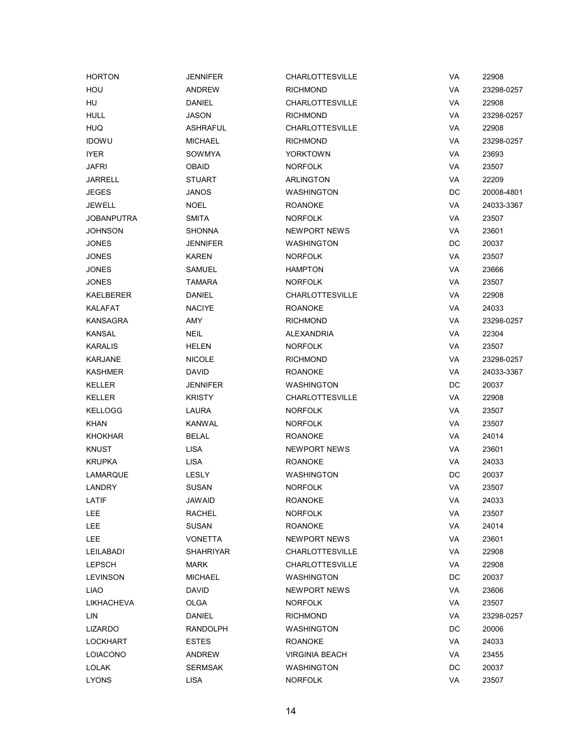| <b>HORTON</b>     | <b>JENNIFER</b>  | <b>CHARLOTTESVILLE</b> | VA | 22908      |
|-------------------|------------------|------------------------|----|------------|
| HOU               | <b>ANDREW</b>    | <b>RICHMOND</b>        | VA | 23298-0257 |
| HU                | <b>DANIEL</b>    | <b>CHARLOTTESVILLE</b> | VA | 22908      |
| <b>HULL</b>       | <b>JASON</b>     | <b>RICHMOND</b>        | VA | 23298-0257 |
| <b>HUQ</b>        | <b>ASHRAFUL</b>  | <b>CHARLOTTESVILLE</b> | VA | 22908      |
| <b>IDOWU</b>      | <b>MICHAEL</b>   | <b>RICHMOND</b>        | VA | 23298-0257 |
| <b>IYER</b>       | SOWMYA           | <b>YORKTOWN</b>        | VA | 23693      |
| <b>JAFRI</b>      | <b>OBAID</b>     | <b>NORFOLK</b>         | VA | 23507      |
| <b>JARRELL</b>    | <b>STUART</b>    | <b>ARLINGTON</b>       | VA | 22209      |
| <b>JEGES</b>      | <b>JANOS</b>     | WASHINGTON             | DC | 20008-4801 |
| <b>JEWELL</b>     | <b>NOEL</b>      | <b>ROANOKE</b>         | VA | 24033-3367 |
| <b>JOBANPUTRA</b> | <b>SMITA</b>     | <b>NORFOLK</b>         | VA | 23507      |
| <b>JOHNSON</b>    | <b>SHONNA</b>    | NEWPORT NEWS           | VA | 23601      |
| <b>JONES</b>      | <b>JENNIFER</b>  | <b>WASHINGTON</b>      | DC | 20037      |
| <b>JONES</b>      | <b>KAREN</b>     | <b>NORFOLK</b>         | VA | 23507      |
| <b>JONES</b>      | <b>SAMUEL</b>    | <b>HAMPTON</b>         | VA | 23666      |
| <b>JONES</b>      | <b>TAMARA</b>    | <b>NORFOLK</b>         | VA | 23507      |
| KAELBERER         | <b>DANIEL</b>    | CHARLOTTESVILLE        | VA | 22908      |
| <b>KALAFAT</b>    | <b>NACIYE</b>    | <b>ROANOKE</b>         | VA | 24033      |
| <b>KANSAGRA</b>   | AMY              | <b>RICHMOND</b>        | VA | 23298-0257 |
| <b>KANSAL</b>     | <b>NEIL</b>      | ALEXANDRIA             | VA | 22304      |
| <b>KARALIS</b>    | HELEN            | <b>NORFOLK</b>         | VA | 23507      |
| <b>KARJANE</b>    | <b>NICOLE</b>    | <b>RICHMOND</b>        | VA | 23298-0257 |
| <b>KASHMER</b>    | <b>DAVID</b>     | <b>ROANOKE</b>         | VA | 24033-3367 |
| <b>KELLER</b>     | <b>JENNIFER</b>  | <b>WASHINGTON</b>      | DC | 20037      |
| <b>KELLER</b>     | <b>KRISTY</b>    | <b>CHARLOTTESVILLE</b> | VA | 22908      |
| <b>KELLOGG</b>    | LAURA            | <b>NORFOLK</b>         | VA | 23507      |
| <b>KHAN</b>       | <b>KANWAL</b>    | <b>NORFOLK</b>         | VA | 23507      |
| <b>KHOKHAR</b>    | <b>BELAL</b>     | <b>ROANOKE</b>         | VA | 24014      |
| <b>KNUST</b>      | <b>LISA</b>      | <b>NEWPORT NEWS</b>    | VA | 23601      |
| <b>KRUPKA</b>     | <b>LISA</b>      | <b>ROANOKE</b>         | VA | 24033      |
| LAMARQUE          | <b>LESLY</b>     | <b>WASHINGTON</b>      | DC | 20037      |
| LANDRY            | <b>SUSAN</b>     | <b>NORFOLK</b>         | VA | 23507      |
| LATIF             | <b>JAWAID</b>    | <b>ROANOKE</b>         | VA | 24033      |
| <b>LEE</b>        | <b>RACHEL</b>    | <b>NORFOLK</b>         | VA | 23507      |
| LEE               | <b>SUSAN</b>     | <b>ROANOKE</b>         | VA | 24014      |
| <b>LEE</b>        | <b>VONETTA</b>   | <b>NEWPORT NEWS</b>    | VA | 23601      |
| LEILABADI         | <b>SHAHRIYAR</b> | <b>CHARLOTTESVILLE</b> | VA | 22908      |
| <b>LEPSCH</b>     | <b>MARK</b>      | <b>CHARLOTTESVILLE</b> | VA | 22908      |
| <b>LEVINSON</b>   | <b>MICHAEL</b>   | <b>WASHINGTON</b>      | DC | 20037      |
| LIAO              | <b>DAVID</b>     | <b>NEWPORT NEWS</b>    | VA | 23606      |
| LIKHACHEVA        | OLGA             | <b>NORFOLK</b>         | VA | 23507      |
| LIN               | <b>DANIEL</b>    | <b>RICHMOND</b>        | VA | 23298-0257 |
| <b>LIZARDO</b>    | <b>RANDOLPH</b>  | <b>WASHINGTON</b>      | DC | 20006      |
| <b>LOCKHART</b>   | <b>ESTES</b>     | <b>ROANOKE</b>         | VA | 24033      |
| LOIACONO          | <b>ANDREW</b>    | <b>VIRGINIA BEACH</b>  | VA | 23455      |
| <b>LOLAK</b>      | <b>SERMSAK</b>   | <b>WASHINGTON</b>      | DC | 20037      |
| <b>LYONS</b>      | <b>LISA</b>      | <b>NORFOLK</b>         | VA | 23507      |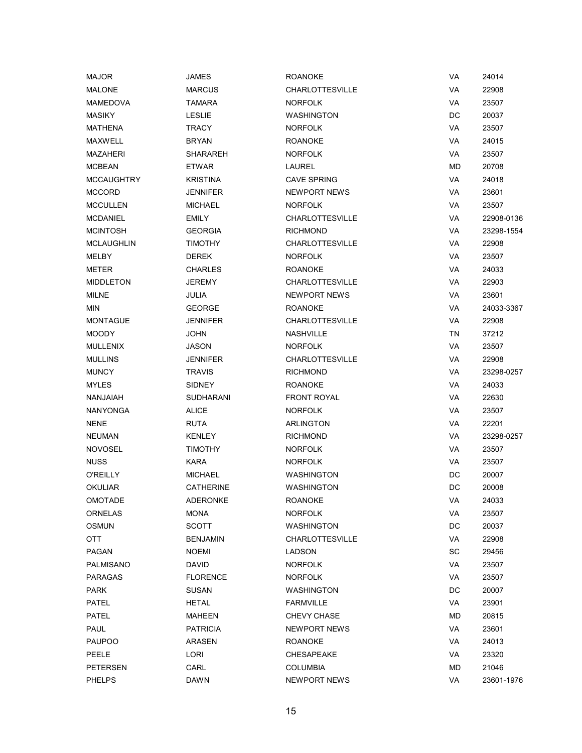| <b>MAJOR</b>      | JAMES           | <b>ROANOKE</b>         | VA | 24014      |
|-------------------|-----------------|------------------------|----|------------|
| <b>MALONE</b>     | <b>MARCUS</b>   | <b>CHARLOTTESVILLE</b> | VA | 22908      |
| <b>MAMEDOVA</b>   | <b>TAMARA</b>   | <b>NORFOLK</b>         | VA | 23507      |
| <b>MASIKY</b>     | <b>LESLIE</b>   | <b>WASHINGTON</b>      | DC | 20037      |
| MATHENA           | TRACY           | <b>NORFOLK</b>         | VA | 23507      |
| MAXWELL           | <b>BRYAN</b>    | <b>ROANOKE</b>         | VA | 24015      |
| <b>MAZAHERI</b>   | SHARAREH        | <b>NORFOLK</b>         | VA | 23507      |
| <b>MCBEAN</b>     | <b>ETWAR</b>    | <b>LAUREL</b>          | МD | 20708      |
| <b>MCCAUGHTRY</b> | <b>KRISTINA</b> | <b>CAVE SPRING</b>     | VA | 24018      |
| <b>MCCORD</b>     | JENNIFER        | NEWPORT NEWS           | VA | 23601      |
| <b>MCCULLEN</b>   | <b>MICHAEL</b>  | <b>NORFOLK</b>         | VA | 23507      |
| <b>MCDANIEL</b>   | <b>EMILY</b>    | <b>CHARLOTTESVILLE</b> | VA | 22908-0136 |
| <b>MCINTOSH</b>   | <b>GEORGIA</b>  | <b>RICHMOND</b>        | VA | 23298-1554 |
| MCLAUGHLIN        | <b>TIMOTHY</b>  | <b>CHARLOTTESVILLE</b> | VA | 22908      |
| MELBY             | <b>DEREK</b>    | <b>NORFOLK</b>         | VA | 23507      |
| <b>METER</b>      | <b>CHARLES</b>  | <b>ROANOKE</b>         | VA | 24033      |
| <b>MIDDLETON</b>  | JEREMY          | <b>CHARLOTTESVILLE</b> | VA | 22903      |
| MILNE             | JULIA           | NEWPORT NEWS           | VA | 23601      |
| MIN               | <b>GEORGE</b>   | <b>ROANOKE</b>         | VA | 24033-3367 |
| <b>MONTAGUE</b>   | <b>JENNIFER</b> | <b>CHARLOTTESVILLE</b> | VA | 22908      |
| <b>MOODY</b>      | JOHN            | <b>NASHVILLE</b>       | TN | 37212      |
| <b>MULLENIX</b>   | JASON           | <b>NORFOLK</b>         | VA | 23507      |
| <b>MULLINS</b>    | <b>JENNIFER</b> | <b>CHARLOTTESVILLE</b> | VA | 22908      |
| <b>MUNCY</b>      | <b>TRAVIS</b>   | <b>RICHMOND</b>        | VA | 23298-0257 |
| <b>MYLES</b>      | SIDNEY          | <b>ROANOKE</b>         | VA | 24033      |
| NANJAIAH          | SUDHARANI       | <b>FRONT ROYAL</b>     | VA | 22630      |
| <b>NANYONGA</b>   | <b>ALICE</b>    | <b>NORFOLK</b>         | VA | 23507      |
| NENE              | <b>RUTA</b>     | ARLINGTON              | VA | 22201      |
| NEUMAN            | <b>KENLEY</b>   | <b>RICHMOND</b>        | VA | 23298-0257 |
| <b>NOVOSEL</b>    | <b>TIMOTHY</b>  | <b>NORFOLK</b>         | VA | 23507      |
| <b>NUSS</b>       | <b>KARA</b>     | <b>NORFOLK</b>         | VA | 23507      |
| <b>O'REILLY</b>   | <b>MICHAEL</b>  | <b>WASHINGTON</b>      | DC | 20007      |
| OKULIAR           | CATHERINE       | WASHINGTON             | DC | 20008      |
| OMOTADE           | <b>ADERONKE</b> | <b>ROANOKE</b>         | VA | 24033      |
| <b>ORNELAS</b>    | <b>MONA</b>     | <b>NORFOLK</b>         | VA | 23507      |
| OSMUN             | <b>SCOTT</b>    | <b>WASHINGTON</b>      | DC | 20037      |
| OTT               | <b>BENJAMIN</b> | <b>CHARLOTTESVILLE</b> | VA | 22908      |
| PAGAN             | <b>NOEMI</b>    | LADSON                 | SC | 29456      |
| PALMISANO         | DAVID           | <b>NORFOLK</b>         | VA | 23507      |
| PARAGAS           | <b>FLORENCE</b> | <b>NORFOLK</b>         | VA | 23507      |
| PARK              | <b>SUSAN</b>    | <b>WASHINGTON</b>      | DC | 20007      |
| PATEL             | <b>HETAL</b>    | <b>FARMVILLE</b>       | VA | 23901      |
| <b>PATEL</b>      | MAHEEN          | <b>CHEVY CHASE</b>     | МD | 20815      |
| PAUL              | <b>PATRICIA</b> | NEWPORT NEWS           | VA | 23601      |
| PAUPOO            | ARASEN          | <b>ROANOKE</b>         | VA | 24013      |
| PEELE             | <b>LORI</b>     | CHESAPEAKE             | VA | 23320      |
| PETERSEN          | CARL            | <b>COLUMBIA</b>        | МD | 21046      |
| <b>PHELPS</b>     | <b>DAWN</b>     | <b>NEWPORT NEWS</b>    | VA | 23601-1976 |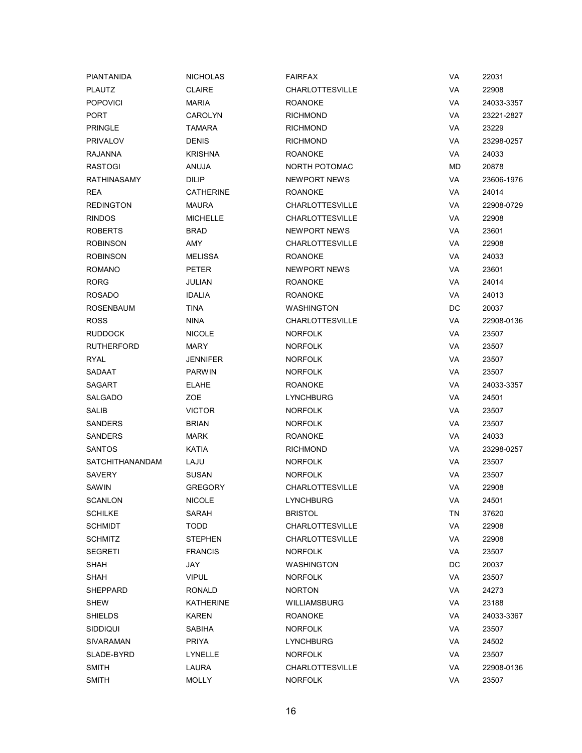| PIANTANIDA             | <b>NICHOLAS</b>  | <b>FAIRFAX</b>         | VA | 22031      |
|------------------------|------------------|------------------------|----|------------|
| <b>PLAUTZ</b>          | <b>CLAIRE</b>    | <b>CHARLOTTESVILLE</b> | VA | 22908      |
| <b>POPOVICI</b>        | <b>MARIA</b>     | <b>ROANOKE</b>         | VA | 24033-3357 |
| PORT                   | <b>CAROLYN</b>   | <b>RICHMOND</b>        | VA | 23221-2827 |
| <b>PRINGLE</b>         | <b>TAMARA</b>    | <b>RICHMOND</b>        | VA | 23229      |
| <b>PRIVALOV</b>        | <b>DENIS</b>     | <b>RICHMOND</b>        | VA | 23298-0257 |
| <b>RAJANNA</b>         | <b>KRISHNA</b>   | <b>ROANOKE</b>         | VA | 24033      |
| <b>RASTOGI</b>         | ANUJA            | <b>NORTH POTOMAC</b>   | MD | 20878      |
| RATHINASAMY            | <b>DILIP</b>     | NEWPORT NEWS           | VA | 23606-1976 |
| <b>REA</b>             | <b>CATHERINE</b> | <b>ROANOKE</b>         | VA | 24014      |
| <b>REDINGTON</b>       | <b>MAURA</b>     | <b>CHARLOTTESVILLE</b> | VA | 22908-0729 |
| <b>RINDOS</b>          | <b>MICHELLE</b>  | <b>CHARLOTTESVILLE</b> | VA | 22908      |
| <b>ROBERTS</b>         | <b>BRAD</b>      | <b>NEWPORT NEWS</b>    | VA | 23601      |
| <b>ROBINSON</b>        | AMY              | <b>CHARLOTTESVILLE</b> | VA | 22908      |
| <b>ROBINSON</b>        | <b>MELISSA</b>   | <b>ROANOKE</b>         | VA | 24033      |
| <b>ROMANO</b>          | <b>PETER</b>     | <b>NEWPORT NEWS</b>    | VA | 23601      |
| <b>RORG</b>            | <b>JULIAN</b>    | <b>ROANOKE</b>         | VA | 24014      |
| <b>ROSADO</b>          | <b>IDALIA</b>    | <b>ROANOKE</b>         | VA | 24013      |
| ROSENBAUM              | <b>TINA</b>      | <b>WASHINGTON</b>      | DC | 20037      |
| <b>ROSS</b>            | <b>NINA</b>      | <b>CHARLOTTESVILLE</b> | VA | 22908-0136 |
| <b>RUDDOCK</b>         | <b>NICOLE</b>    | <b>NORFOLK</b>         | VA | 23507      |
| RUTHERFORD             | MARY             | <b>NORFOLK</b>         | VA | 23507      |
| <b>RYAL</b>            | <b>JENNIFER</b>  | <b>NORFOLK</b>         | VA | 23507      |
| SADAAT                 | <b>PARWIN</b>    | <b>NORFOLK</b>         | VA | 23507      |
| <b>SAGART</b>          | <b>ELAHE</b>     | <b>ROANOKE</b>         | VA | 24033-3357 |
| SALGADO                | ZOE              | <b>LYNCHBURG</b>       | VA | 24501      |
| SALIB                  | <b>VICTOR</b>    | <b>NORFOLK</b>         | VA | 23507      |
| <b>SANDERS</b>         | <b>BRIAN</b>     | <b>NORFOLK</b>         | VA | 23507      |
| <b>SANDERS</b>         | <b>MARK</b>      | <b>ROANOKE</b>         | VA | 24033      |
| <b>SANTOS</b>          | KATIA            | <b>RICHMOND</b>        | VA | 23298-0257 |
| <b>SATCHITHANANDAM</b> | LAJU             | <b>NORFOLK</b>         | VA | 23507      |
| <b>SAVERY</b>          | <b>SUSAN</b>     | <b>NORFOLK</b>         | VA | 23507      |
| <b>SAWIN</b>           | <b>GREGORY</b>   | <b>CHARLOTTESVILLE</b> | VA | 22908      |
| SCANLON                | <b>NICOLE</b>    | LYNCHBURG              | VA | 24501      |
| <b>SCHILKE</b>         | SARAH            | <b>BRISTOL</b>         | ΤN | 37620      |
| <b>SCHMIDT</b>         | <b>TODD</b>      | <b>CHARLOTTESVILLE</b> | VA | 22908      |
| <b>SCHMITZ</b>         | <b>STEPHEN</b>   | <b>CHARLOTTESVILLE</b> | VA | 22908      |
| <b>SEGRETI</b>         | <b>FRANCIS</b>   | <b>NORFOLK</b>         | VA | 23507      |
| <b>SHAH</b>            | JAY              | <b>WASHINGTON</b>      | DC | 20037      |
| <b>SHAH</b>            | <b>VIPUL</b>     | <b>NORFOLK</b>         | VA | 23507      |
| SHEPPARD               | RONALD           | <b>NORTON</b>          | VA | 24273      |
| SHEW                   | KATHERINE        | <b>WILLIAMSBURG</b>    | VA | 23188      |
| SHIELDS                | KAREN            | ROANOKE                | VA | 24033-3367 |
| SIDDIQUI               | SABIHA           | <b>NORFOLK</b>         | VA | 23507      |
| SIVARAMAN              | <b>PRIYA</b>     | LYNCHBURG              | VA | 24502      |
| SLADE-BYRD             | LYNELLE          | <b>NORFOLK</b>         | VA | 23507      |
| <b>SMITH</b>           | LAURA            | <b>CHARLOTTESVILLE</b> | VA | 22908-0136 |
| <b>SMITH</b>           | <b>MOLLY</b>     | <b>NORFOLK</b>         | VA | 23507      |
|                        |                  |                        |    |            |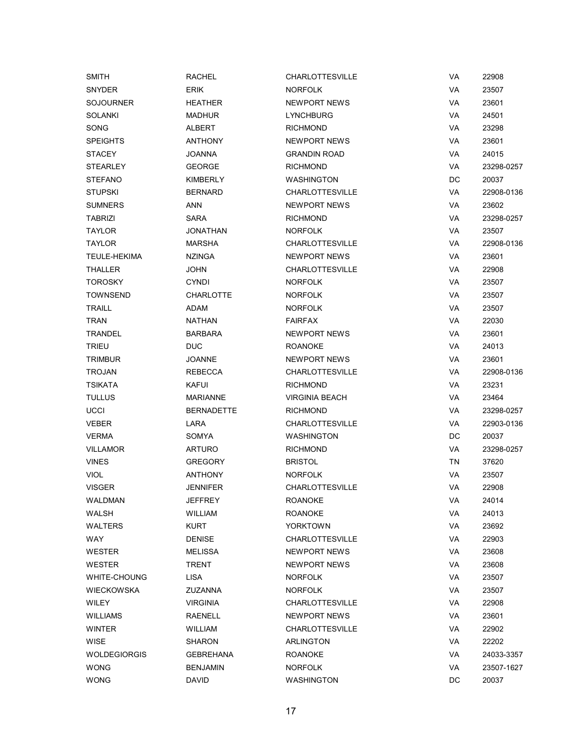| <b>SMITH</b>     | <b>RACHEL</b>     | <b>CHARLOTTESVILLE</b> | VA        | 22908      |
|------------------|-------------------|------------------------|-----------|------------|
| SNYDER           | <b>ERIK</b>       | <b>NORFOLK</b>         | VA        | 23507      |
| <b>SOJOURNER</b> | <b>HEATHER</b>    | NEWPORT NEWS           | VA        | 23601      |
| <b>SOLANKI</b>   | <b>MADHUR</b>     | <b>LYNCHBURG</b>       | VA        | 24501      |
| SONG             | ALBERT            | <b>RICHMOND</b>        | VA        | 23298      |
| <b>SPEIGHTS</b>  | <b>ANTHONY</b>    | NEWPORT NEWS           | VA        | 23601      |
| <b>STACEY</b>    | <b>JOANNA</b>     | <b>GRANDIN ROAD</b>    | VA        | 24015      |
| <b>STEARLEY</b>  | <b>GEORGE</b>     | <b>RICHMOND</b>        | VA        | 23298-0257 |
| <b>STEFANO</b>   | KIMBERLY          | <b>WASHINGTON</b>      | DC        | 20037      |
| <b>STUPSKI</b>   | <b>BERNARD</b>    | <b>CHARLOTTESVILLE</b> | VA        | 22908-0136 |
| <b>SUMNERS</b>   | ANN               | NEWPORT NEWS           | VA        | 23602      |
| <b>TABRIZI</b>   | SARA              | <b>RICHMOND</b>        | VA        | 23298-0257 |
| <b>TAYLOR</b>    | JONATHAN          | <b>NORFOLK</b>         | VA        | 23507      |
| <b>TAYLOR</b>    | MARSHA            | <b>CHARLOTTESVILLE</b> | VA        | 22908-0136 |
| TEULE-HEKIMA     | <b>NZINGA</b>     | NEWPORT NEWS           | VA        | 23601      |
| THALLER          | JOHN              | <b>CHARLOTTESVILLE</b> | VA        | 22908      |
| <b>TOROSKY</b>   | CYNDI             | <b>NORFOLK</b>         | VA        | 23507      |
| TOWNSEND         | CHARLOTTE         | <b>NORFOLK</b>         | VA        | 23507      |
| <b>TRAILL</b>    | ADAM              | <b>NORFOLK</b>         | VA        | 23507      |
| <b>TRAN</b>      | <b>NATHAN</b>     | <b>FAIRFAX</b>         | <b>VA</b> | 22030      |
| TRANDEL          | <b>BARBARA</b>    | NEWPORT NEWS           | VA        | 23601      |
| <b>TRIEU</b>     | <b>DUC</b>        | <b>ROANOKE</b>         | VA        | 24013      |
| <b>TRIMBUR</b>   | <b>JOANNE</b>     | NEWPORT NEWS           | VA        | 23601      |
| <b>TROJAN</b>    | REBECCA           | <b>CHARLOTTESVILLE</b> | VA        | 22908-0136 |
| <b>TSIKATA</b>   | KAFUI             | <b>RICHMOND</b>        | VA        | 23231      |
| <b>TULLUS</b>    | MARIANNE          | <b>VIRGINIA BEACH</b>  | VA        | 23464      |
| <b>UCCI</b>      | <b>BERNADETTE</b> | <b>RICHMOND</b>        | VA        | 23298-0257 |
| <b>VEBER</b>     | LARA              | <b>CHARLOTTESVILLE</b> | VA        | 22903-0136 |
| <b>VERMA</b>     | SOMYA             | WASHINGTON             | DC        | 20037      |
| <b>VILLAMOR</b>  | ARTURO            | <b>RICHMOND</b>        | VA        | 23298-0257 |
| <b>VINES</b>     | <b>GREGORY</b>    | <b>BRISTOL</b>         | TN        | 37620      |
| <b>VIOL</b>      | <b>ANTHONY</b>    | <b>NORFOLK</b>         | VA        | 23507      |
| <b>VISGER</b>    | JENNIFER          | <b>CHARLOTTESVILLE</b> | VA        | 22908      |
| WALDMAN          | <b>JEFFREY</b>    | <b>ROANOKE</b>         | VA        | 24014      |
| WALSH            | WILLIAM           | ROANOKE                | VA        | 24013      |
| WALTERS          | <b>KURT</b>       | <b>YORKTOWN</b>        | VA        | 23692      |
| WAY              | <b>DENISE</b>     | <b>CHARLOTTESVILLE</b> | VA        | 22903      |
| WESTER           | <b>MELISSA</b>    | NEWPORT NEWS           | VA        | 23608      |
| <b>WESTER</b>    | TRENT             | <b>NEWPORT NEWS</b>    | VA        | 23608      |
| WHITE-CHOUNG     | LISA              | <b>NORFOLK</b>         | VA        | 23507      |
| WIECKOWSKA       | ZUZANNA           | <b>NORFOLK</b>         | VA        | 23507      |
| <b>WILEY</b>     | <b>VIRGINIA</b>   | <b>CHARLOTTESVILLE</b> | VA        | 22908      |
| <b>WILLIAMS</b>  | RAENELL           | <b>NEWPORT NEWS</b>    | VA        | 23601      |
| WINTER           | WILLIAM           | <b>CHARLOTTESVILLE</b> | VA        | 22902      |
| WISE             | SHARON            | ARLINGTON              | VA        | 22202      |
| WOLDEGIORGIS     | GEBREHANA         | <b>ROANOKE</b>         | VA        | 24033-3357 |
| <b>WONG</b>      | <b>BENJAMIN</b>   | <b>NORFOLK</b>         | VA        | 23507-1627 |
| <b>WONG</b>      | <b>DAVID</b>      | <b>WASHINGTON</b>      | DC        | 20037      |